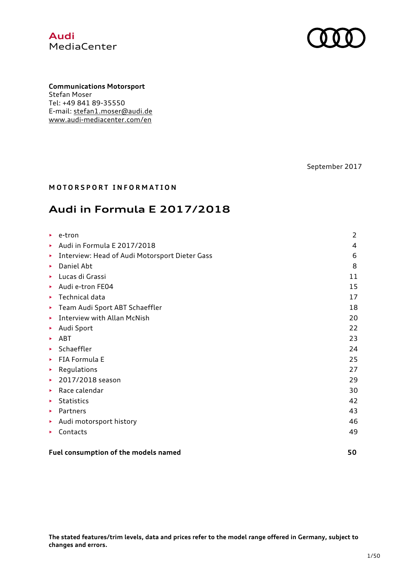

**Communications Motorsport** Stefan Moser Tel: +49 841 89-35550 E-mail: stefan1.moser@audi.de www.audi-mediacenter.com/en

September 2017

#### **MOTORSPORT INFORMATION**

# **Audi in Formula E 2017/2018**

| ▶ | e-tron                                         | 2  |
|---|------------------------------------------------|----|
|   | Audi in Formula E 2017/2018                    | 4  |
| ▶ | Interview: Head of Audi Motorsport Dieter Gass | 6  |
| ▶ | Daniel Abt                                     | 8  |
| ▶ | Lucas di Grassi                                | 11 |
|   | Audi e-tron FE04                               | 15 |
| × | Technical data                                 | 17 |
| ▶ | Team Audi Sport ABT Schaeffler                 | 18 |
| ▶ | <b>Interview with Allan McNish</b>             | 20 |
| ▶ | Audi Sport                                     | 22 |
| ▶ | ABT                                            | 23 |
| ▶ | Schaeffler                                     | 24 |
| ▶ | FIA Formula E                                  | 25 |
| ▶ | Regulations                                    | 27 |
| ٠ | 2017/2018 season                               | 29 |
| × | Race calendar                                  | 30 |
| ▶ | <b>Statistics</b>                              | 42 |
| ▶ | Partners                                       | 43 |
| ▶ | Audi motorsport history                        | 46 |
|   | Contacts                                       | 49 |
|   |                                                |    |
|   |                                                |    |

#### **Fuel consumption of the models named 50**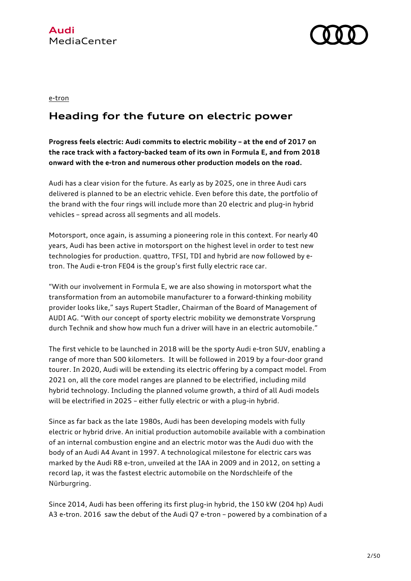



#### e-tron

# **Heading for the future on electric power**

**Progress feels electric: Audi commits to electric mobility – at the end of 2017 on the race track with a factory-backed team of its own in Formula E, and from 2018 onward with the e-tron and numerous other production models on the road.**

Audi has a clear vision for the future. As early as by 2025, one in three Audi cars delivered is planned to be an electric vehicle. Even before this date, the portfolio of the brand with the four rings will include more than 20 electric and plug-in hybrid vehicles – spread across all segments and all models.

Motorsport, once again, is assuming a pioneering role in this context. For nearly 40 years, Audi has been active in motorsport on the highest level in order to test new technologies for production. quattro, TFSI, TDI and hybrid are now followed by etron. The Audi e-tron FE04 is the group's first fully electric race car.

"With our involvement in Formula E, we are also showing in motorsport what the transformation from an automobile manufacturer to a forward-thinking mobility provider looks like," says Rupert Stadler, Chairman of the Board of Management of AUDI AG. "With our concept of sporty electric mobility we demonstrate Vorsprung durch Technik and show how much fun a driver will have in an electric automobile."

The first vehicle to be launched in 2018 will be the sporty Audi e-tron SUV, enabling a range of more than 500 kilometers. It will be followed in 2019 by a four-door grand tourer. In 2020, Audi will be extending its electric offering by a compact model. From 2021 on, all the core model ranges are planned to be electrified, including mild hybrid technology. Including the planned volume growth, a third of all Audi models will be electrified in 2025 – either fully electric or with a plug-in hybrid.

Since as far back as the late 1980s, Audi has been developing models with fully electric or hybrid drive. An initial production automobile available with a combination of an internal combustion engine and an electric motor was the Audi duo with the body of an Audi A4 Avant in 1997. A technological milestone for electric cars was marked by the Audi R8 e-tron, unveiled at the IAA in 2009 and in 2012, on setting a record lap, it was the fastest electric automobile on the Nordschleife of the Nürburgring.

Since 2014, Audi has been offering its first plug-in hybrid, the 150 kW (204 hp) Audi A3 e-tron. 2016 saw the debut of the Audi Q7 e-tron – powered by a combination of a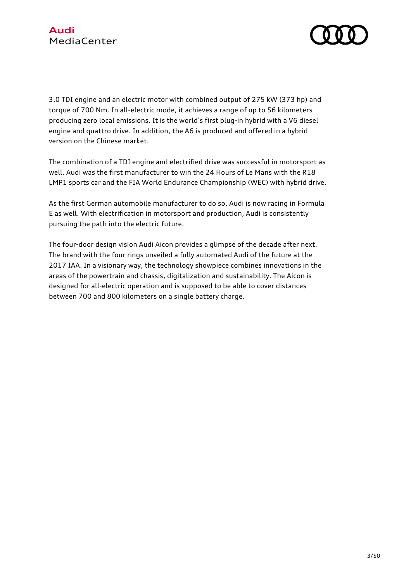

3.0 TDI engine and an electric motor with combined output of 275 kW (373 hp) and torque of 700 Nm. In all-electric mode, it achieves a range of up to 56 kilometers producing zero local emissions. It is the world's first plug-in hybrid with a V6 diesel engine and quattro drive. In addition, the A6 is produced and offered in a hybrid version on the Chinese market.

The combination of a TDI engine and electrified drive was successful in motorsport as well. Audi was the first manufacturer to win the 24 Hours of Le Mans with the R18 LMP1 sports car and the FIA World Endurance Championship (WEC) with hybrid drive.

As the first German automobile manufacturer to do so, Audi is now racing in Formula E as well. With electrification in motorsport and production, Audi is consistently pursuing the path into the electric future.

The four-door design vision Audi Aicon provides a glimpse of the decade after next. The brand with the four rings unveiled a fully automated Audi of the future at the 2017 IAA. In a visionary way, the technology showpiece combines innovations in the areas of the powertrain and chassis, digitalization and sustainability. The Aicon is designed for all-electric operation and is supposed to be able to cover distances between 700 and 800 kilometers on a single battery charge.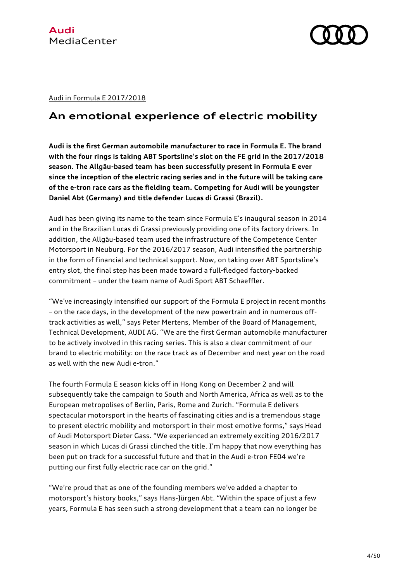

Audi in Formula E 2017/2018

### **An emotional experience of electric mobility**

**Audi is the first German automobile manufacturer to race in Formula E. The brand with the four rings is taking ABT Sportsline's slot on the FE grid in the 2017/2018 season. The Allgäu-based team has been successfully present in Formula E ever since the inception of the electric racing series and in the future will be taking care of the e-tron race cars as the fielding team. Competing for Audi will be youngster Daniel Abt (Germany) and title defender Lucas di Grassi (Brazil).**

Audi has been giving its name to the team since Formula E's inaugural season in 2014 and in the Brazilian Lucas di Grassi previously providing one of its factory drivers. In addition, the Allgäu-based team used the infrastructure of the Competence Center Motorsport in Neuburg. For the 2016/2017 season, Audi intensified the partnership in the form of financial and technical support. Now, on taking over ABT Sportsline's entry slot, the final step has been made toward a full-fledged factory-backed commitment – under the team name of Audi Sport ABT Schaeffler.

"We've increasingly intensified our support of the Formula E project in recent months – on the race days, in the development of the new powertrain and in numerous offtrack activities as well," says Peter Mertens, Member of the Board of Management, Technical Development, AUDI AG. "We are the first German automobile manufacturer to be actively involved in this racing series. This is also a clear commitment of our brand to electric mobility: on the race track as of December and next year on the road as well with the new Audi e-tron."

The fourth Formula E season kicks off in Hong Kong on December 2 and will subsequently take the campaign to South and North America, Africa as well as to the European metropolises of Berlin, Paris, Rome and Zurich. "Formula E delivers spectacular motorsport in the hearts of fascinating cities and is a tremendous stage to present electric mobility and motorsport in their most emotive forms," says Head of Audi Motorsport Dieter Gass. "We experienced an extremely exciting 2016/2017 season in which Lucas di Grassi clinched the title. I'm happy that now everything has been put on track for a successful future and that in the Audi e-tron FE04 we're putting our first fully electric race car on the grid."

"We're proud that as one of the founding members we've added a chapter to motorsport's history books," says Hans-Jürgen Abt. "Within the space of just a few years, Formula E has seen such a strong development that a team can no longer be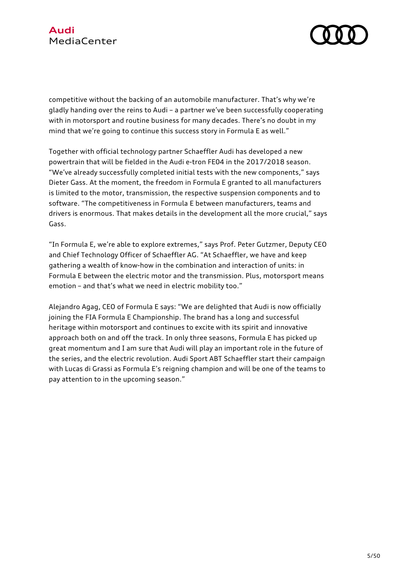

competitive without the backing of an automobile manufacturer. That's why we're gladly handing over the reins to Audi – a partner we've been successfully cooperating with in motorsport and routine business for many decades. There's no doubt in my mind that we're going to continue this success story in Formula E as well."

Together with official technology partner Schaeffler Audi has developed a new powertrain that will be fielded in the Audi e-tron FE04 in the 2017/2018 season. "We've already successfully completed initial tests with the new components," says Dieter Gass. At the moment, the freedom in Formula E granted to all manufacturers is limited to the motor, transmission, the respective suspension components and to software. "The competitiveness in Formula E between manufacturers, teams and drivers is enormous. That makes details in the development all the more crucial," says Gass.

"In Formula E, we're able to explore extremes," says Prof. Peter Gutzmer, Deputy CEO and Chief Technology Officer of Schaeffler AG. "At Schaeffler, we have and keep gathering a wealth of know-how in the combination and interaction of units: in Formula E between the electric motor and the transmission. Plus, motorsport means emotion – and that's what we need in electric mobility too."

Alejandro Agag, CEO of Formula E says: "We are delighted that Audi is now officially joining the FIA Formula E Championship. The brand has a long and successful heritage within motorsport and continues to excite with its spirit and innovative approach both on and off the track. In only three seasons, Formula E has picked up great momentum and I am sure that Audi will play an important role in the future of the series, and the electric revolution. Audi Sport ABT Schaeffler start their campaign with Lucas di Grassi as Formula E's reigning champion and will be one of the teams to pay attention to in the upcoming season."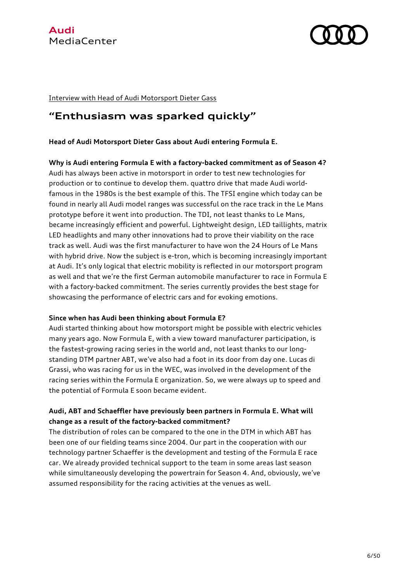

Interview with Head of Audi Motorsport Dieter Gass

### **"Enthusiasm was sparked quickly"**

#### **Head of Audi Motorsport Dieter Gass about Audi entering Formula E.**

**Why is Audi entering Formula E with a factory-backed commitment as of Season 4?** Audi has always been active in motorsport in order to test new technologies for production or to continue to develop them. quattro drive that made Audi worldfamous in the 1980s is the best example of this. The TFSI engine which today can be found in nearly all Audi model ranges was successful on the race track in the Le Mans prototype before it went into production. The TDI, not least thanks to Le Mans, became increasingly efficient and powerful. Lightweight design, LED taillights, matrix LED headlights and many other innovations had to prove their viability on the race track as well. Audi was the first manufacturer to have won the 24 Hours of Le Mans with hybrid drive. Now the subject is e-tron, which is becoming increasingly important at Audi. It's only logical that electric mobility is reflected in our motorsport program as well and that we're the first German automobile manufacturer to race in Formula E with a factory-backed commitment. The series currently provides the best stage for showcasing the performance of electric cars and for evoking emotions.

#### **Since when has Audi been thinking about Formula E?**

Audi started thinking about how motorsport might be possible with electric vehicles many years ago. Now Formula E, with a view toward manufacturer participation, is the fastest-growing racing series in the world and, not least thanks to our longstanding DTM partner ABT, we've also had a foot in its door from day one. Lucas di Grassi, who was racing for us in the WEC, was involved in the development of the racing series within the Formula E organization. So, we were always up to speed and the potential of Formula E soon became evident.

#### **Audi, ABT and Schaeffler have previously been partners in Formula E. What will change as a result of the factory-backed commitment?**

The distribution of roles can be compared to the one in the DTM in which ABT has been one of our fielding teams since 2004. Our part in the cooperation with our technology partner Schaeffer is the development and testing of the Formula E race car. We already provided technical support to the team in some areas last season while simultaneously developing the powertrain for Season 4. And, obviously, we've assumed responsibility for the racing activities at the venues as well.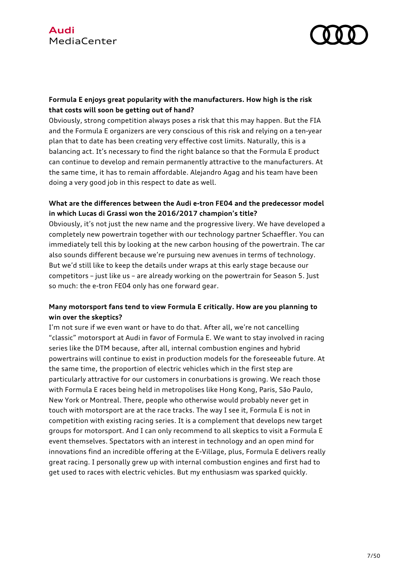

### **Formula E enjoys great popularity with the manufacturers. How high is the risk that costs will soon be getting out of hand?**

Obviously, strong competition always poses a risk that this may happen. But the FIA and the Formula E organizers are very conscious of this risk and relying on a ten-year plan that to date has been creating very effective cost limits. Naturally, this is a balancing act. It's necessary to find the right balance so that the Formula E product can continue to develop and remain permanently attractive to the manufacturers. At the same time, it has to remain affordable. Alejandro Agag and his team have been doing a very good job in this respect to date as well.

#### **What are the differences between the Audi e-tron FE04 and the predecessor model in which Lucas di Grassi won the 2016/2017 champion's title?**

Obviously, it's not just the new name and the progressive livery. We have developed a completely new powertrain together with our technology partner Schaeffler. You can immediately tell this by looking at the new carbon housing of the powertrain. The car also sounds different because we're pursuing new avenues in terms of technology. But we'd still like to keep the details under wraps at this early stage because our competitors – just like us – are already working on the powertrain for Season 5. Just so much: the e-tron FE04 only has one forward gear.

### **Many motorsport fans tend to view Formula E critically. How are you planning to win over the skeptics?**

I'm not sure if we even want or have to do that. After all, we're not cancelling "classic" motorsport at Audi in favor of Formula E. We want to stay involved in racing series like the DTM because, after all, internal combustion engines and hybrid powertrains will continue to exist in production models for the foreseeable future. At the same time, the proportion of electric vehicles which in the first step are particularly attractive for our customers in conurbations is growing. We reach those with Formula E races being held in metropolises like Hong Kong, Paris, São Paulo, New York or Montreal. There, people who otherwise would probably never get in touch with motorsport are at the race tracks. The way I see it, Formula E is not in competition with existing racing series. It is a complement that develops new target groups for motorsport. And I can only recommend to all skeptics to visit a Formula E event themselves. Spectators with an interest in technology and an open mind for innovations find an incredible offering at the E-Village, plus, Formula E delivers really great racing. I personally grew up with internal combustion engines and first had to get used to races with electric vehicles. But my enthusiasm was sparked quickly.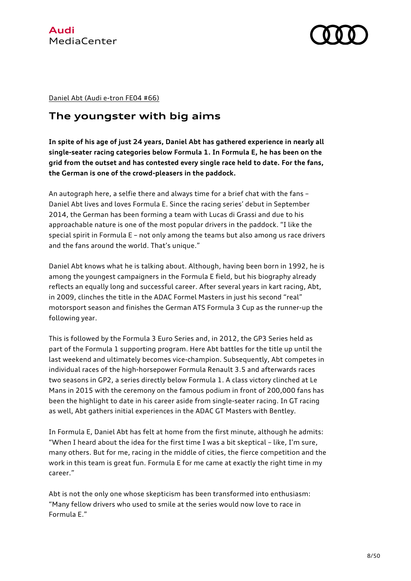

Daniel Abt (Audi e-tron FE04 #66)

# **The youngster with big aims**

**In spite of his age of just 24 years, Daniel Abt has gathered experience in nearly all single-seater racing categories below Formula 1. In Formula E, he has been on the grid from the outset and has contested every single race held to date. For the fans, the German is one of the crowd-pleasers in the paddock.** 

An autograph here, a selfie there and always time for a brief chat with the fans – Daniel Abt lives and loves Formula E. Since the racing series' debut in September 2014, the German has been forming a team with Lucas di Grassi and due to his approachable nature is one of the most popular drivers in the paddock. "I like the special spirit in Formula E – not only among the teams but also among us race drivers and the fans around the world. That's unique."

Daniel Abt knows what he is talking about. Although, having been born in 1992, he is among the youngest campaigners in the Formula E field, but his biography already reflects an equally long and successful career. After several years in kart racing, Abt, in 2009, clinches the title in the ADAC Formel Masters in just his second "real" motorsport season and finishes the German ATS Formula 3 Cup as the runner-up the following year.

This is followed by the Formula 3 Euro Series and, in 2012, the GP3 Series held as part of the Formula 1 supporting program. Here Abt battles for the title up until the last weekend and ultimately becomes vice-champion. Subsequently, Abt competes in individual races of the high-horsepower Formula Renault 3.5 and afterwards races two seasons in GP2, a series directly below Formula 1. A class victory clinched at Le Mans in 2015 with the ceremony on the famous podium in front of 200,000 fans has been the highlight to date in his career aside from single-seater racing. In GT racing as well, Abt gathers initial experiences in the ADAC GT Masters with Bentley.

In Formula E, Daniel Abt has felt at home from the first minute, although he admits: "When I heard about the idea for the first time I was a bit skeptical – like, I'm sure, many others. But for me, racing in the middle of cities, the fierce competition and the work in this team is great fun. Formula E for me came at exactly the right time in my career."

Abt is not the only one whose skepticism has been transformed into enthusiasm: "Many fellow drivers who used to smile at the series would now love to race in Formula E."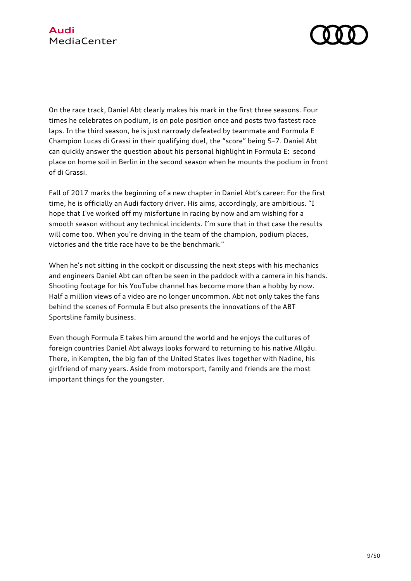

On the race track, Daniel Abt clearly makes his mark in the first three seasons. Four times he celebrates on podium, is on pole position once and posts two fastest race laps. In the third season, he is just narrowly defeated by teammate and Formula E Champion Lucas di Grassi in their qualifying duel, the "score" being 5–7. Daniel Abt can quickly answer the question about his personal highlight in Formula E: second place on home soil in Berlin in the second season when he mounts the podium in front of di Grassi.

Fall of 2017 marks the beginning of a new chapter in Daniel Abt's career: For the first time, he is officially an Audi factory driver. His aims, accordingly, are ambitious. "I hope that I've worked off my misfortune in racing by now and am wishing for a smooth season without any technical incidents. I'm sure that in that case the results will come too. When you're driving in the team of the champion, podium places, victories and the title race have to be the benchmark."

When he's not sitting in the cockpit or discussing the next steps with his mechanics and engineers Daniel Abt can often be seen in the paddock with a camera in his hands. Shooting footage for his YouTube channel has become more than a hobby by now. Half a million views of a video are no longer uncommon. Abt not only takes the fans behind the scenes of Formula E but also presents the innovations of the ABT Sportsline family business.

Even though Formula E takes him around the world and he enjoys the cultures of foreign countries Daniel Abt always looks forward to returning to his native Allgäu. There, in Kempten, the big fan of the United States lives together with Nadine, his girlfriend of many years. Aside from motorsport, family and friends are the most important things for the youngster.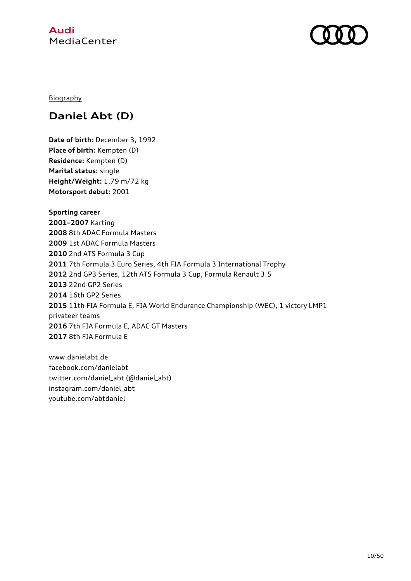

**Biography** 

# **Daniel Abt (D)**

**Date of birth:** December 3, 1992 **Place of birth:** Kempten (D) **Residence:** Kempten (D) **Marital status:** single **Height/Weight:** 1.79 m/72 kg **Motorsport debut:** 2001

**Sporting career 2001–2007** Karting 8th ADAC Formula Masters 1st ADAC Formula Masters 2nd ATS Formula 3 Cup 7th Formula 3 Euro Series, 4th FIA Formula 3 International Trophy 2nd GP3 Series, 12th ATS Formula 3 Cup, Formula Renault 3.5 22nd GP2 Series 16th GP2 Series 11th FIA Formula E, FIA World Endurance Championship (WEC), 1 victory LMP1 privateer teams 7th FIA Formula E, ADAC GT Masters 8th FIA Formula E

www.danielabt.de facebook.com/danielabt twitter.com/daniel\_abt (@daniel\_abt) instagram.com/daniel\_abt youtube.com/abtdaniel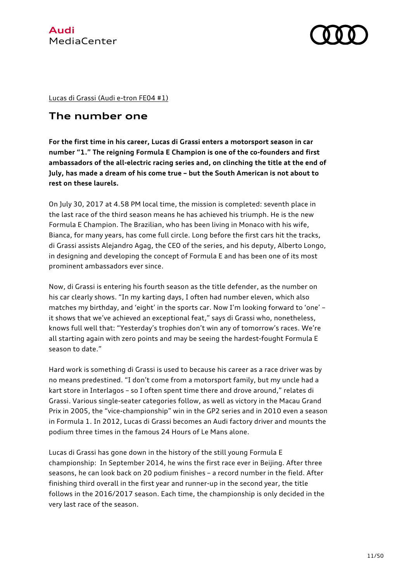Lucas di Grassi (Audi e-tron FE04 #1)

### **The number one**

**For the first time in his career, Lucas di Grassi enters a motorsport season in car number "1." The reigning Formula E Champion is one of the co-founders and first ambassadors of the all-electric racing series and, on clinching the title at the end of July, has made a dream of his come true – but the South American is not about to rest on these laurels.** 

On July 30, 2017 at 4.58 PM local time, the mission is completed: seventh place in the last race of the third season means he has achieved his triumph. He is the new Formula E Champion. The Brazilian, who has been living in Monaco with his wife, Bianca, for many years, has come full circle. Long before the first cars hit the tracks, di Grassi assists Alejandro Agag, the CEO of the series, and his deputy, Alberto Longo, in designing and developing the concept of Formula E and has been one of its most prominent ambassadors ever since.

Now, di Grassi is entering his fourth season as the title defender, as the number on his car clearly shows. "In my karting days, I often had number eleven, which also matches my birthday, and 'eight' in the sports car. Now I'm looking forward to 'one' – it shows that we've achieved an exceptional feat," says di Grassi who, nonetheless, knows full well that: "Yesterday's trophies don't win any of tomorrow's races. We're all starting again with zero points and may be seeing the hardest-fought Formula E season to date."

Hard work is something di Grassi is used to because his career as a race driver was by no means predestined. "I don't come from a motorsport family, but my uncle had a kart store in Interlagos – so I often spent time there and drove around," relates di Grassi. Various single-seater categories follow, as well as victory in the Macau Grand Prix in 2005, the "vice-championship" win in the GP2 series and in 2010 even a season in Formula 1. In 2012, Lucas di Grassi becomes an Audi factory driver and mounts the podium three times in the famous 24 Hours of Le Mans alone.

Lucas di Grassi has gone down in the history of the still young Formula E championship: In September 2014, he wins the first race ever in Beijing. After three seasons, he can look back on 20 podium finishes – a record number in the field. After finishing third overall in the first year and runner-up in the second year, the title follows in the 2016/2017 season. Each time, the championship is only decided in the very last race of the season.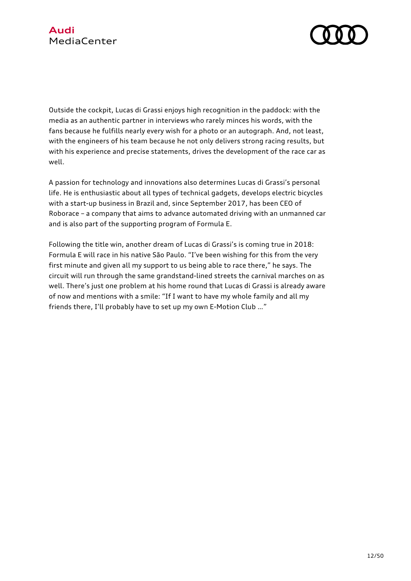

Outside the cockpit, Lucas di Grassi enjoys high recognition in the paddock: with the media as an authentic partner in interviews who rarely minces his words, with the fans because he fulfills nearly every wish for a photo or an autograph. And, not least, with the engineers of his team because he not only delivers strong racing results, but with his experience and precise statements, drives the development of the race car as well.

A passion for technology and innovations also determines Lucas di Grassi's personal life. He is enthusiastic about all types of technical gadgets, develops electric bicycles with a start-up business in Brazil and, since September 2017, has been CEO of Roborace – a company that aims to advance automated driving with an unmanned car and is also part of the supporting program of Formula E.

Following the title win, another dream of Lucas di Grassi's is coming true in 2018: Formula E will race in his native São Paulo. "I've been wishing for this from the very first minute and given all my support to us being able to race there," he says. The circuit will run through the same grandstand-lined streets the carnival marches on as well. There's just one problem at his home round that Lucas di Grassi is already aware of now and mentions with a smile: "If I want to have my whole family and all my friends there, I'll probably have to set up my own E-Motion Club …"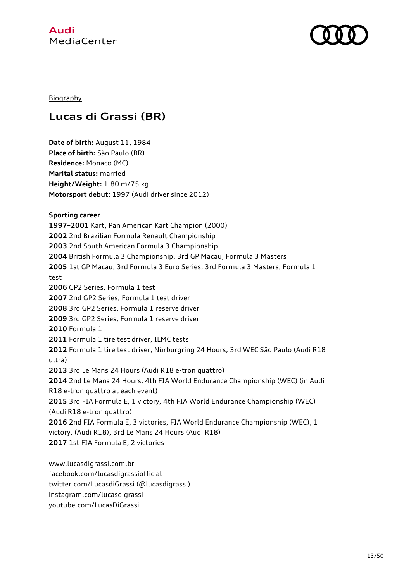

#### **Biography**

# **Lucas di Grassi (BR)**

**Date of birth:** August 11, 1984 **Place of birth:** São Paulo (BR) **Residence:** Monaco (MC) **Marital status:** married **Height/Weight:** 1.80 m/75 kg **Motorsport debut:** 1997 (Audi driver since 2012) **Sporting career 1997–2001** Kart, Pan American Kart Champion (2000) **2002** 2nd Brazilian Formula Renault Championship **2003** 2nd South American Formula 3 Championship **2004** British Formula 3 Championship, 3rd GP Macau, Formula 3 Masters **2005** 1st GP Macau, 3rd Formula 3 Euro Series, 3rd Formula 3 Masters, Formula 1 test **2006** GP2 Series, Formula 1 test **2007** 2nd GP2 Series, Formula 1 test driver **2008** 3rd GP2 Series, Formula 1 reserve driver **2009** 3rd GP2 Series, Formula 1 reserve driver **2010** Formula 1 **2011** Formula 1 tire test driver, ILMC tests **2012** Formula 1 tire test driver, Nürburgring 24 Hours, 3rd WEC São Paulo (Audi R18 ultra) **2013** 3rd Le Mans 24 Hours (Audi R18 e-tron quattro) **2014** 2nd Le Mans 24 Hours, 4th FIA World Endurance Championship (WEC) (in Audi R18 e-tron quattro at each event) **2015** 3rd FIA Formula E, 1 victory, 4th FIA World Endurance Championship (WEC) (Audi R18 e-tron quattro) **2016** 2nd FIA Formula E, 3 victories, FIA World Endurance Championship (WEC), 1 victory, (Audi R18), 3rd Le Mans 24 Hours (Audi R18) **2017** 1st FIA Formula E, 2 victories

www.lucasdigrassi.com.br facebook.com/lucasdigrassiofficial twitter.com/LucasdiGrassi (@lucasdigrassi) instagram.com/lucasdigrassi youtube.com/LucasDiGrassi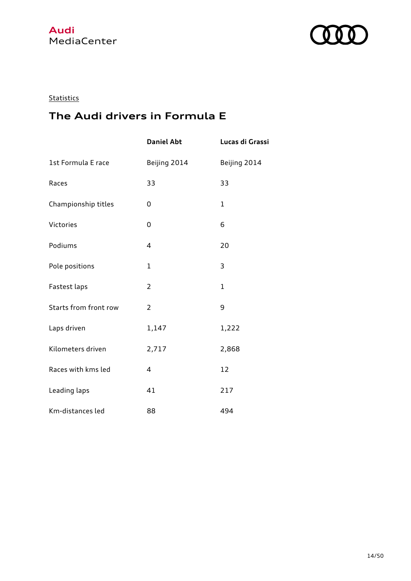

### **Statistics**

# **The Audi drivers in Formula E**

|                       | <b>Daniel Abt</b> | Lucas di Grassi |
|-----------------------|-------------------|-----------------|
| 1st Formula E race    | Beijing 2014      | Beijing 2014    |
| Races                 | 33                | 33              |
| Championship titles   | 0                 | $\mathbf{1}$    |
| Victories             | 0                 | 6               |
| Podiums               | 4                 | 20              |
| Pole positions        | $\mathbf{1}$      | 3               |
| Fastest laps          | 2                 | $\mathbf{1}$    |
| Starts from front row | 2                 | 9               |
| Laps driven           | 1,147             | 1,222           |
| Kilometers driven     | 2,717             | 2,868           |
| Races with kms led    | 4                 | 12              |
| Leading laps          | 41                | 217             |
| Km-distances led      | 88                | 494             |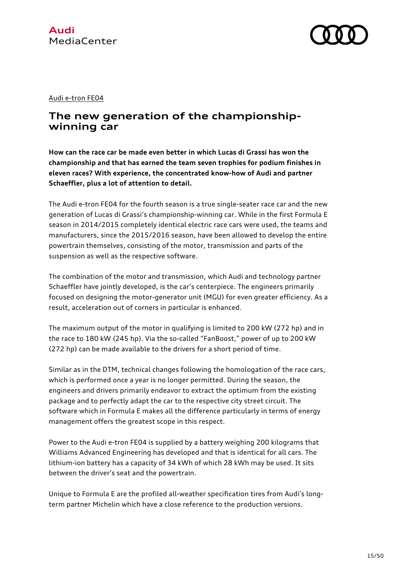#### Audi e-tron FE04

### **The new generation of the championshipwinning car**

**How can the race car be made even better in which Lucas di Grassi has won the championship and that has earned the team seven trophies for podium finishes in eleven races? With experience, the concentrated know-how of Audi and partner Schaeffler, plus a lot of attention to detail.** 

The Audi e-tron FE04 for the fourth season is a true single-seater race car and the new generation of Lucas di Grassi's championship-winning car. While in the first Formula E season in 2014/2015 completely identical electric race cars were used, the teams and manufacturers, since the 2015/2016 season, have been allowed to develop the entire powertrain themselves, consisting of the motor, transmission and parts of the suspension as well as the respective software.

The combination of the motor and transmission, which Audi and technology partner Schaeffler have jointly developed, is the car's centerpiece. The engineers primarily focused on designing the motor-generator unit (MGU) for even greater efficiency. As a result, acceleration out of corners in particular is enhanced.

The maximum output of the motor in qualifying is limited to 200 kW (272 hp) and in the race to 180 kW (245 hp). Via the so-called "FanBoost," power of up to 200 kW (272 hp) can be made available to the drivers for a short period of time.

Similar as in the DTM, technical changes following the homologation of the race cars, which is performed once a year is no longer permitted. During the season, the engineers and drivers primarily endeavor to extract the optimum from the existing package and to perfectly adapt the car to the respective city street circuit. The software which in Formula E makes all the difference particularly in terms of energy management offers the greatest scope in this respect.

Power to the Audi e-tron FE04 is supplied by a battery weighing 200 kilograms that Williams Advanced Engineering has developed and that is identical for all cars. The lithium-ion battery has a capacity of 34 kWh of which 28 kWh may be used. It sits between the driver's seat and the powertrain.

Unique to Formula E are the profiled all-weather specification tires from Audi's longterm partner Michelin which have a close reference to the production versions.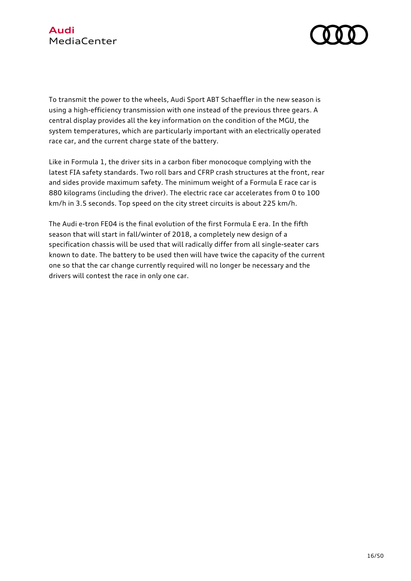

To transmit the power to the wheels, Audi Sport ABT Schaeffler in the new season is using a high-efficiency transmission with one instead of the previous three gears. A central display provides all the key information on the condition of the MGU, the system temperatures, which are particularly important with an electrically operated race car, and the current charge state of the battery.

Like in Formula 1, the driver sits in a carbon fiber monocoque complying with the latest FIA safety standards. Two roll bars and CFRP crash structures at the front, rear and sides provide maximum safety. The minimum weight of a Formula E race car is 880 kilograms (including the driver). The electric race car accelerates from 0 to 100 km/h in 3.5 seconds. Top speed on the city street circuits is about 225 km/h.

The Audi e-tron FE04 is the final evolution of the first Formula E era. In the fifth season that will start in fall/winter of 2018, a completely new design of a specification chassis will be used that will radically differ from all single-seater cars known to date. The battery to be used then will have twice the capacity of the current one so that the car change currently required will no longer be necessary and the drivers will contest the race in only one car.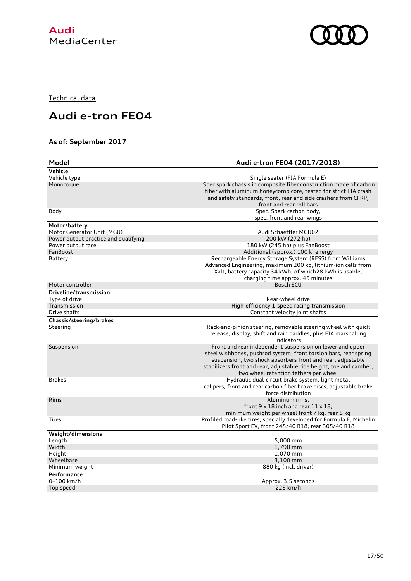

Technical data

# **Audi e-tron FE04**

### **As of: September 2017**

| Model                                | Audi e-tron FE04 (2017/2018)                                                                                            |
|--------------------------------------|-------------------------------------------------------------------------------------------------------------------------|
| Vehicle                              |                                                                                                                         |
| Vehicle type                         | Single seater (FIA Formula E)                                                                                           |
| Monocoque                            | Spec spark chassis in composite fiber construction made of carbon                                                       |
|                                      | fiber with aluminum honeycomb core, tested for strict FIA crash                                                         |
|                                      | and safety standards, front, rear and side crashers from CFRP,                                                          |
|                                      | front and rear roll bars                                                                                                |
| Body                                 | Spec. Spark carbon body,                                                                                                |
|                                      | spec. front and rear wings                                                                                              |
| Motor/battery                        |                                                                                                                         |
| Motor Generator Unit (MGU)           | Audi Schaeffler MGU02                                                                                                   |
| Power output practice and qualifying | 200 kW (272 hp)                                                                                                         |
| Power output race                    | 180 kW (245 hp) plus FanBoost                                                                                           |
| FanBoost                             | Additional (approx.) 100 kJ energy                                                                                      |
| Battery                              | Rechargeable Energy Storage System (RESS) from Williams                                                                 |
|                                      | Advanced Engineering, maximum 200 kg, lithium-ion cells from                                                            |
|                                      | Xalt, battery capacity 34 kWh, of which 28 kWh is usable,                                                               |
|                                      | charging time approx. 45 minutes                                                                                        |
| Motor controller                     | <b>Bosch ECU</b>                                                                                                        |
| Driveline/transmission               |                                                                                                                         |
| Type of drive                        | Rear-wheel drive                                                                                                        |
| Transmission                         | High-efficiency 1-speed racing transmission                                                                             |
| Drive shafts                         | Constant velocity joint shafts                                                                                          |
| Chassis/steering/brakes              |                                                                                                                         |
| Steering                             | Rack-and-pinion steering, removable steering wheel with quick                                                           |
|                                      | release, display, shift and rain paddles, plus FIA marshalling                                                          |
|                                      | indicators                                                                                                              |
| Suspension                           | Front and rear independent suspension on lower and upper                                                                |
|                                      | steel wishbones, pushrod system, front torsion bars, rear spring                                                        |
|                                      | suspension, two shock absorbers front and rear, adjustable                                                              |
|                                      | stabilizers front and rear, adjustable ride height, toe and camber,                                                     |
| <b>Brakes</b>                        | two wheel retention tethers per wheel                                                                                   |
|                                      | Hydraulic dual-circuit brake system, light metal<br>calipers, front and rear carbon fiber brake discs, adjustable brake |
|                                      | force distribution                                                                                                      |
| Rims                                 | Aluminum rims,                                                                                                          |
|                                      | front $9 \times 18$ inch and rear $11 \times 18$ ,                                                                      |
|                                      | minimum weight per wheel front 7 kg, rear 8 kg                                                                          |
| <b>Tires</b>                         | Profiled road-like tires, specially developed for Formula E, Michelin                                                   |
|                                      | Pilot Sport EV, front 245/40 R18, rear 305/40 R18                                                                       |
| Weight/dimensions                    |                                                                                                                         |
| Length                               | 5,000 mm                                                                                                                |
| Width                                | 1,790 mm                                                                                                                |
| Height                               | 1,070 mm                                                                                                                |
| Wheelbase                            | 3,100 mm                                                                                                                |
| Minimum weight                       | 880 kg (incl. driver)                                                                                                   |
| Performance                          |                                                                                                                         |
| 0-100 km/h                           | Approx. 3.5 seconds                                                                                                     |
| Top speed                            | 225 km/h                                                                                                                |
|                                      |                                                                                                                         |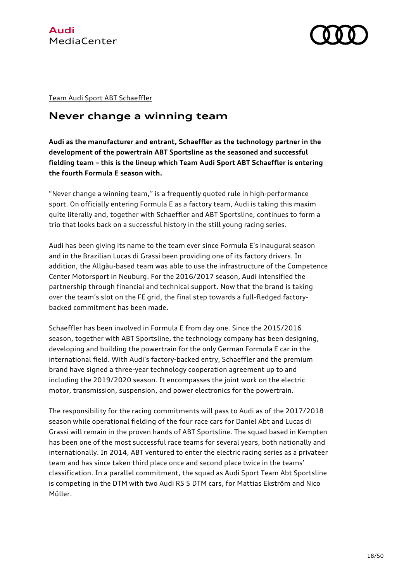



Team Audi Sport ABT Schaeffler

### **Never change a winning team**

**Audi as the manufacturer and entrant, Schaeffler as the technology partner in the development of the powertrain ABT Sportsline as the seasoned and successful fielding team – this is the lineup which Team Audi Sport ABT Schaeffler is entering the fourth Formula E season with.** 

"Never change a winning team," is a frequently quoted rule in high-performance sport. On officially entering Formula E as a factory team, Audi is taking this maxim quite literally and, together with Schaeffler and ABT Sportsline, continues to form a trio that looks back on a successful history in the still young racing series.

Audi has been giving its name to the team ever since Formula E's inaugural season and in the Brazilian Lucas di Grassi been providing one of its factory drivers. In addition, the Allgäu-based team was able to use the infrastructure of the Competence Center Motorsport in Neuburg. For the 2016/2017 season, Audi intensified the partnership through financial and technical support. Now that the brand is taking over the team's slot on the FE grid, the final step towards a full-fledged factorybacked commitment has been made.

Schaeffler has been involved in Formula E from day one. Since the 2015/2016 season, together with ABT Sportsline, the technology company has been designing, developing and building the powertrain for the only German Formula E car in the international field. With Audi's factory-backed entry, Schaeffler and the premium brand have signed a three-year technology cooperation agreement up to and including the 2019/2020 season. It encompasses the joint work on the electric motor, transmission, suspension, and power electronics for the powertrain.

The responsibility for the racing commitments will pass to Audi as of the 2017/2018 season while operational fielding of the four race cars for Daniel Abt and Lucas di Grassi will remain in the proven hands of ABT Sportsline. The squad based in Kempten has been one of the most successful race teams for several years, both nationally and internationally. In 2014, ABT ventured to enter the electric racing series as a privateer team and has since taken third place once and second place twice in the teams' classification. In a parallel commitment, the squad as Audi Sport Team Abt Sportsline is competing in the DTM with two Audi RS 5 DTM cars, for Mattias Ekström and Nico Müller.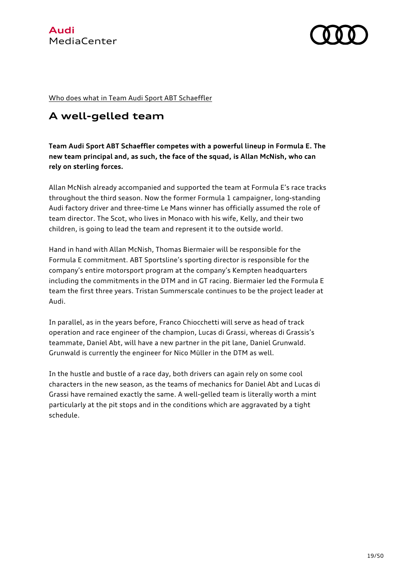

Who does what in Team Audi Sport ABT Schaeffler

# **A well-gelled team**

**Team Audi Sport ABT Schaeffler competes with a powerful lineup in Formula E. The new team principal and, as such, the face of the squad, is Allan McNish, who can rely on sterling forces.**

Allan McNish already accompanied and supported the team at Formula E's race tracks throughout the third season. Now the former Formula 1 campaigner, long-standing Audi factory driver and three-time Le Mans winner has officially assumed the role of team director. The Scot, who lives in Monaco with his wife, Kelly, and their two children, is going to lead the team and represent it to the outside world.

Hand in hand with Allan McNish, Thomas Biermaier will be responsible for the Formula E commitment. ABT Sportsline's sporting director is responsible for the company's entire motorsport program at the company's Kempten headquarters including the commitments in the DTM and in GT racing. Biermaier led the Formula E team the first three years. Tristan Summerscale continues to be the project leader at Audi.

In parallel, as in the years before, Franco Chiocchetti will serve as head of track operation and race engineer of the champion, Lucas di Grassi, whereas di Grassis's teammate, Daniel Abt, will have a new partner in the pit lane, Daniel Grunwald. Grunwald is currently the engineer for Nico Müller in the DTM as well.

In the hustle and bustle of a race day, both drivers can again rely on some cool characters in the new season, as the teams of mechanics for Daniel Abt and Lucas di Grassi have remained exactly the same. A well-gelled team is literally worth a mint particularly at the pit stops and in the conditions which are aggravated by a tight schedule.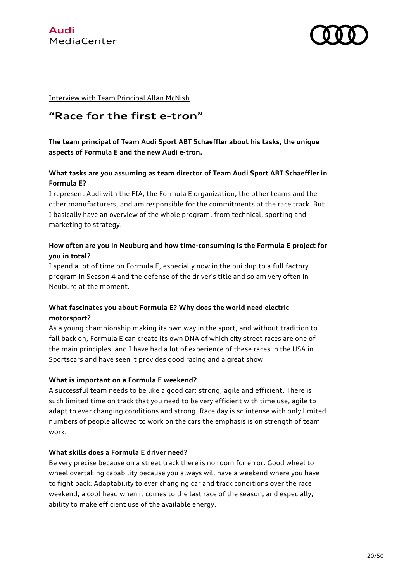



Interview with Team Principal Allan McNish

### **"Race for the first e-tron"**

**The team principal of Team Audi Sport ABT Schaeffler about his tasks, the unique aspects of Formula E and the new Audi e-tron.**

#### **What tasks are you assuming as team director of Team Audi Sport ABT Schaeffler in Formula E?**

I represent Audi with the FIA, the Formula E organization, the other teams and the other manufacturers, and am responsible for the commitments at the race track. But I basically have an overview of the whole program, from technical, sporting and marketing to strategy.

#### **How often are you in Neuburg and how time-consuming is the Formula E project for you in total?**

I spend a lot of time on Formula E, especially now in the buildup to a full factory program in Season 4 and the defense of the driver's title and so am very often in Neuburg at the moment.

#### **What fascinates you about Formula E? Why does the world need electric motorsport?**

As a young championship making its own way in the sport, and without tradition to fall back on, Formula E can create its own DNA of which city street races are one of the main principles, and I have had a lot of experience of these races in the USA in Sportscars and have seen it provides good racing and a great show.

#### **What is important on a Formula E weekend?**

A successful team needs to be like a good car: strong, agile and efficient. There is such limited time on track that you need to be very efficient with time use, agile to adapt to ever changing conditions and strong. Race day is so intense with only limited numbers of people allowed to work on the cars the emphasis is on strength of team work.

#### **What skills does a Formula E driver need?**

Be very precise because on a street track there is no room for error. Good wheel to wheel overtaking capability because you always will have a weekend where you have to fight back. Adaptability to ever changing car and track conditions over the race weekend, a cool head when it comes to the last race of the season, and especially, ability to make efficient use of the available energy.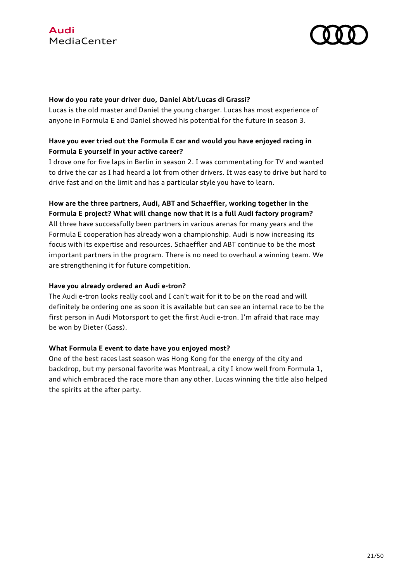



#### **How do you rate your driver duo, Daniel Abt/Lucas di Grassi?**

Lucas is the old master and Daniel the young charger. Lucas has most experience of anyone in Formula E and Daniel showed his potential for the future in season 3.

#### **Have you ever tried out the Formula E car and would you have enjoyed racing in Formula E yourself in your active career?**

I drove one for five laps in Berlin in season 2. I was commentating for TV and wanted to drive the car as I had heard a lot from other drivers. It was easy to drive but hard to drive fast and on the limit and has a particular style you have to learn.

#### **How are the three partners, Audi, ABT and Schaeffler, working together in the Formula E project? What will change now that it is a full Audi factory program?**

All three have successfully been partners in various arenas for many years and the Formula E cooperation has already won a championship. Audi is now increasing its focus with its expertise and resources. Schaeffler and ABT continue to be the most important partners in the program. There is no need to overhaul a winning team. We are strengthening it for future competition.

#### **Have you already ordered an Audi e-tron?**

The Audi e-tron looks really cool and I can't wait for it to be on the road and will definitely be ordering one as soon it is available but can see an internal race to be the first person in Audi Motorsport to get the first Audi e-tron. I'm afraid that race may be won by Dieter (Gass).

#### **What Formula E event to date have you enjoyed most?**

One of the best races last season was Hong Kong for the energy of the city and backdrop, but my personal favorite was Montreal, a city I know well from Formula 1, and which embraced the race more than any other. Lucas winning the title also helped the spirits at the after party.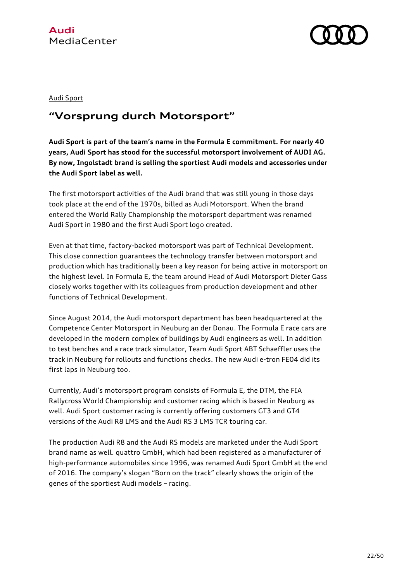



#### Audi Sport

### **"Vorsprung durch Motorsport"**

**Audi Sport is part of the team's name in the Formula E commitment. For nearly 40 years, Audi Sport has stood for the successful motorsport involvement of AUDI AG. By now, Ingolstadt brand is selling the sportiest Audi models and accessories under the Audi Sport label as well.**

The first motorsport activities of the Audi brand that was still young in those days took place at the end of the 1970s, billed as Audi Motorsport. When the brand entered the World Rally Championship the motorsport department was renamed Audi Sport in 1980 and the first Audi Sport logo created.

Even at that time, factory-backed motorsport was part of Technical Development. This close connection guarantees the technology transfer between motorsport and production which has traditionally been a key reason for being active in motorsport on the highest level. In Formula E, the team around Head of Audi Motorsport Dieter Gass closely works together with its colleagues from production development and other functions of Technical Development.

Since August 2014, the Audi motorsport department has been headquartered at the Competence Center Motorsport in Neuburg an der Donau. The Formula E race cars are developed in the modern complex of buildings by Audi engineers as well. In addition to test benches and a race track simulator, Team Audi Sport ABT Schaeffler uses the track in Neuburg for rollouts and functions checks. The new Audi e-tron FE04 did its first laps in Neuburg too.

Currently, Audi's motorsport program consists of Formula E, the DTM, the FIA Rallycross World Championship and customer racing which is based in Neuburg as well. Audi Sport customer racing is currently offering customers GT3 and GT4 versions of the Audi R8 LMS and the Audi RS 3 LMS TCR touring car.

The production Audi R8 and the Audi RS models are marketed under the Audi Sport brand name as well. quattro GmbH, which had been registered as a manufacturer of high-performance automobiles since 1996, was renamed Audi Sport GmbH at the end of 2016. The company's slogan "Born on the track" clearly shows the origin of the genes of the sportiest Audi models – racing.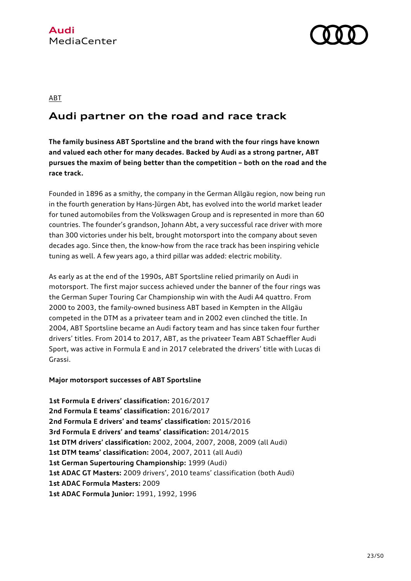

#### ABT

# **Audi partner on the road and race track**

**The family business ABT Sportsline and the brand with the four rings have known and valued each other for many decades. Backed by Audi as a strong partner, ABT pursues the maxim of being better than the competition – both on the road and the race track.** 

Founded in 1896 as a smithy, the company in the German Allgäu region, now being run in the fourth generation by Hans-Jürgen Abt, has evolved into the world market leader for tuned automobiles from the Volkswagen Group and is represented in more than 60 countries. The founder's grandson, Johann Abt, a very successful race driver with more than 300 victories under his belt, brought motorsport into the company about seven decades ago. Since then, the know-how from the race track has been inspiring vehicle tuning as well. A few years ago, a third pillar was added: electric mobility.

As early as at the end of the 1990s, ABT Sportsline relied primarily on Audi in motorsport. The first major success achieved under the banner of the four rings was the German Super Touring Car Championship win with the Audi A4 quattro. From 2000 to 2003, the family-owned business ABT based in Kempten in the Allgäu competed in the DTM as a privateer team and in 2002 even clinched the title. In 2004, ABT Sportsline became an Audi factory team and has since taken four further drivers' titles. From 2014 to 2017, ABT, as the privateer Team ABT Schaeffler Audi Sport, was active in Formula E and in 2017 celebrated the drivers' title with Lucas di Grassi.

#### **Major motorsport successes of ABT Sportsline**

**1st Formula E drivers' classification:** 2016/2017 **2nd Formula E teams' classification:** 2016/2017 **2nd Formula E drivers' and teams' classification:** 2015/2016 **3rd Formula E drivers' and teams' classification:** 2014/2015 **1st DTM drivers' classification:** 2002, 2004, 2007, 2008, 2009 (all Audi) **1st DTM teams' classification:** 2004, 2007, 2011 (all Audi) **1st German Supertouring Championship:** 1999 (Audi) **1st ADAC GT Masters:** 2009 drivers', 2010 teams' classification (both Audi) **1st ADAC Formula Masters:** 2009 **1st ADAC Formula Junior:** 1991, 1992, 1996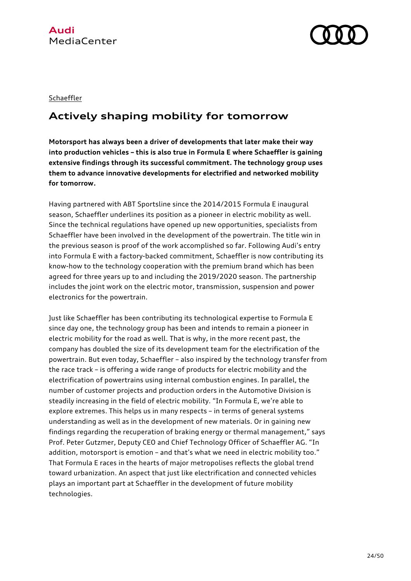



#### **Schaeffler**

# **Actively shaping mobility for tomorrow**

**Motorsport has always been a driver of developments that later make their way into production vehicles – this is also true in Formula E where Schaeffler is gaining extensive findings through its successful commitment. The technology group uses them to advance innovative developments for electrified and networked mobility for tomorrow.** 

Having partnered with ABT Sportsline since the 2014/2015 Formula E inaugural season, Schaeffler underlines its position as a pioneer in electric mobility as well. Since the technical regulations have opened up new opportunities, specialists from Schaeffler have been involved in the development of the powertrain. The title win in the previous season is proof of the work accomplished so far. Following Audi's entry into Formula E with a factory-backed commitment, Schaeffler is now contributing its know-how to the technology cooperation with the premium brand which has been agreed for three years up to and including the 2019/2020 season. The partnership includes the joint work on the electric motor, transmission, suspension and power electronics for the powertrain.

Just like Schaeffler has been contributing its technological expertise to Formula E since day one, the technology group has been and intends to remain a pioneer in electric mobility for the road as well. That is why, in the more recent past, the company has doubled the size of its development team for the electrification of the powertrain. But even today, Schaeffler – also inspired by the technology transfer from the race track – is offering a wide range of products for electric mobility and the electrification of powertrains using internal combustion engines. In parallel, the number of customer projects and production orders in the Automotive Division is steadily increasing in the field of electric mobility. "In Formula E, we're able to explore extremes. This helps us in many respects – in terms of general systems understanding as well as in the development of new materials. Or in gaining new findings regarding the recuperation of braking energy or thermal management," says Prof. Peter Gutzmer, Deputy CEO and Chief Technology Officer of Schaeffler AG. "In addition, motorsport is emotion – and that's what we need in electric mobility too." That Formula E races in the hearts of major metropolises reflects the global trend toward urbanization. An aspect that just like electrification and connected vehicles plays an important part at Schaeffler in the development of future mobility technologies.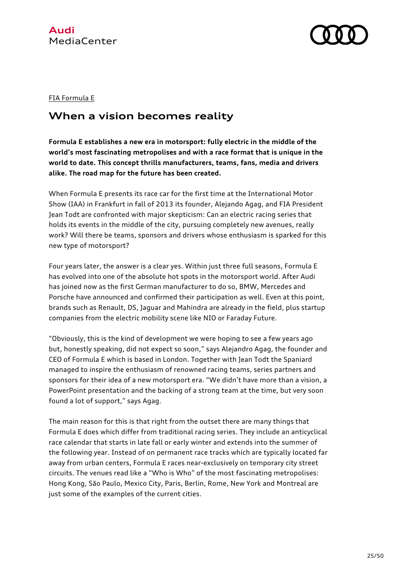



#### FIA Formula E

### **When a vision becomes reality**

**Formula E establishes a new era in motorsport: fully electric in the middle of the world's most fascinating metropolises and with a race format that is unique in the world to date. This concept thrills manufacturers, teams, fans, media and drivers alike. The road map for the future has been created.**

When Formula E presents its race car for the first time at the International Motor Show (IAA) in Frankfurt in fall of 2013 its founder, Alejando Agag, and FIA President Jean Todt are confronted with major skepticism: Can an electric racing series that holds its events in the middle of the city, pursuing completely new avenues, really work? Will there be teams, sponsors and drivers whose enthusiasm is sparked for this new type of motorsport?

Four years later, the answer is a clear yes. Within just three full seasons, Formula E has evolved into one of the absolute hot spots in the motorsport world. After Audi has joined now as the first German manufacturer to do so, BMW, Mercedes and Porsche have announced and confirmed their participation as well. Even at this point, brands such as Renault, DS, Jaguar and Mahindra are already in the field, plus startup companies from the electric mobility scene like NIO or Faraday Future.

"Obviously, this is the kind of development we were hoping to see a few years ago but, honestly speaking, did not expect so soon," says Alejandro Agag, the founder and CEO of Formula E which is based in London. Together with Jean Todt the Spaniard managed to inspire the enthusiasm of renowned racing teams, series partners and sponsors for their idea of a new motorsport era. "We didn't have more than a vision, a PowerPoint presentation and the backing of a strong team at the time, but very soon found a lot of support," says Agag.

The main reason for this is that right from the outset there are many things that Formula E does which differ from traditional racing series. They include an anticyclical race calendar that starts in late fall or early winter and extends into the summer of the following year. Instead of on permanent race tracks which are typically located far away from urban centers, Formula E races near-exclusively on temporary city street circuits. The venues read like a "Who is Who" of the most fascinating metropolises: Hong Kong, São Paulo, Mexico City, Paris, Berlin, Rome, New York and Montreal are just some of the examples of the current cities.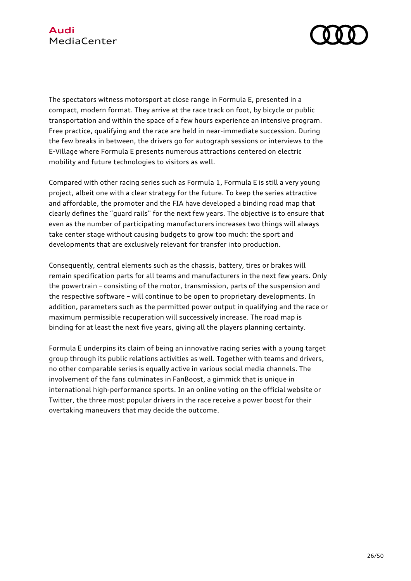

The spectators witness motorsport at close range in Formula E, presented in a compact, modern format. They arrive at the race track on foot, by bicycle or public transportation and within the space of a few hours experience an intensive program. Free practice, qualifying and the race are held in near-immediate succession. During the few breaks in between, the drivers go for autograph sessions or interviews to the E-Village where Formula E presents numerous attractions centered on electric mobility and future technologies to visitors as well.

Compared with other racing series such as Formula 1, Formula E is still a very young project, albeit one with a clear strategy for the future. To keep the series attractive and affordable, the promoter and the FIA have developed a binding road map that clearly defines the "guard rails" for the next few years. The objective is to ensure that even as the number of participating manufacturers increases two things will always take center stage without causing budgets to grow too much: the sport and developments that are exclusively relevant for transfer into production.

Consequently, central elements such as the chassis, battery, tires or brakes will remain specification parts for all teams and manufacturers in the next few years. Only the powertrain – consisting of the motor, transmission, parts of the suspension and the respective software – will continue to be open to proprietary developments. In addition, parameters such as the permitted power output in qualifying and the race or maximum permissible recuperation will successively increase. The road map is binding for at least the next five years, giving all the players planning certainty.

Formula E underpins its claim of being an innovative racing series with a young target group through its public relations activities as well. Together with teams and drivers, no other comparable series is equally active in various social media channels. The involvement of the fans culminates in FanBoost, a gimmick that is unique in international high-performance sports. In an online voting on the official website or Twitter, the three most popular drivers in the race receive a power boost for their overtaking maneuvers that may decide the outcome.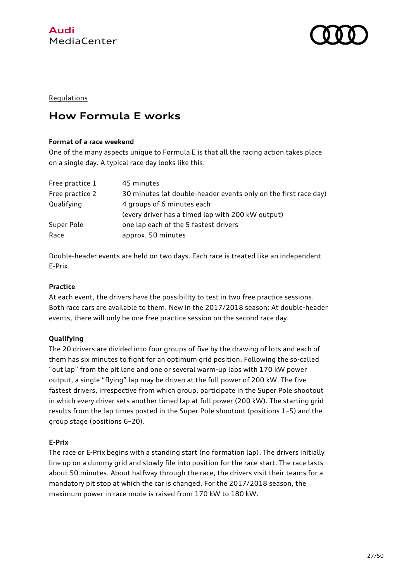



#### **Regulations**

### **How Formula E works**

#### **Format of a race weekend**

One of the many aspects unique to Formula E is that all the racing action takes place on a single day. A typical race day looks like this:

| Free practice 1 | 45 minutes                                                      |  |
|-----------------|-----------------------------------------------------------------|--|
| Free practice 2 | 30 minutes (at double-header events only on the first race day) |  |
| Qualifying      | 4 groups of 6 minutes each                                      |  |
|                 | (every driver has a timed lap with 200 kW output)               |  |
| Super Pole      | one lap each of the 5 fastest drivers                           |  |
| Race            | approx. 50 minutes                                              |  |

Double-header events are held on two days. Each race is treated like an independent E-Prix.

#### **Practice**

At each event, the drivers have the possibility to test in two free practice sessions. Both race cars are available to them. New in the 2017/2018 season: At double-header events, there will only be one free practice session on the second race day.

#### **Qualifying**

The 20 drivers are divided into four groups of five by the drawing of lots and each of them has six minutes to fight for an optimum grid position. Following the so-called "out lap" from the pit lane and one or several warm-up laps with 170 kW power output, a single "flying" lap may be driven at the full power of 200 kW. The five fastest drivers, irrespective from which group, participate in the Super Pole shootout in which every driver sets another timed lap at full power (200 kW). The starting grid results from the lap times posted in the Super Pole shootout (positions 1–5) and the group stage (positions 6–20).

#### **E-Prix**

The race or E-Prix begins with a standing start (no formation lap). The drivers initially line up on a dummy grid and slowly file into position for the race start. The race lasts about 50 minutes. About halfway through the race, the drivers visit their teams for a mandatory pit stop at which the car is changed. For the 2017/2018 season, the maximum power in race mode is raised from 170 kW to 180 kW.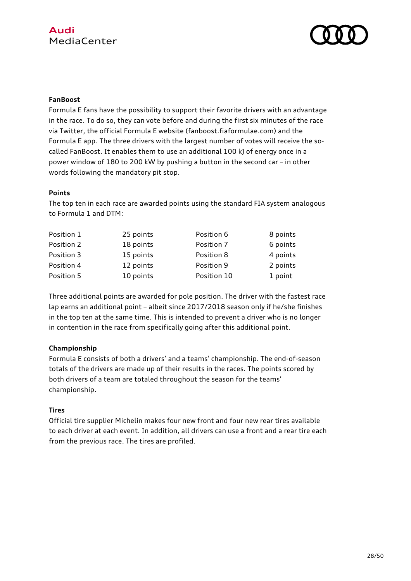

#### **FanBoost**

Formula E fans have the possibility to support their favorite drivers with an advantage in the race. To do so, they can vote before and during the first six minutes of the race via Twitter, the official Formula E website (fanboost.fiaformulae.com) and the Formula E app. The three drivers with the largest number of votes will receive the socalled FanBoost. It enables them to use an additional 100 kJ of energy once in a power window of 180 to 200 kW by pushing a button in the second car – in other words following the mandatory pit stop.

#### **Points**

The top ten in each race are awarded points using the standard FIA system analogous to Formula 1 and DTM:

| Position 1 | 25 points | Position 6  | 8 points |
|------------|-----------|-------------|----------|
| Position 2 | 18 points | Position 7  | 6 points |
| Position 3 | 15 points | Position 8  | 4 points |
| Position 4 | 12 points | Position 9  | 2 points |
| Position 5 | 10 points | Position 10 | 1 point  |

Three additional points are awarded for pole position. The driver with the fastest race lap earns an additional point – albeit since 2017/2018 season only if he/she finishes in the top ten at the same time. This is intended to prevent a driver who is no longer in contention in the race from specifically going after this additional point.

### **Championship**

Formula E consists of both a drivers' and a teams' championship. The end-of-season totals of the drivers are made up of their results in the races. The points scored by both drivers of a team are totaled throughout the season for the teams' championship.

#### **Tires**

Official tire supplier Michelin makes four new front and four new rear tires available to each driver at each event. In addition, all drivers can use a front and a rear tire each from the previous race. The tires are profiled.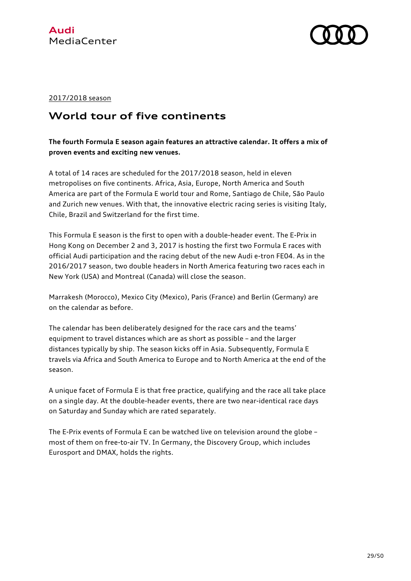

#### 2017/2018 season

# **World tour of five continents**

### **The fourth Formula E season again features an attractive calendar. It offers a mix of proven events and exciting new venues.**

A total of 14 races are scheduled for the 2017/2018 season, held in eleven metropolises on five continents. Africa, Asia, Europe, North America and South America are part of the Formula E world tour and Rome, Santiago de Chile, São Paulo and Zurich new venues. With that, the innovative electric racing series is visiting Italy, Chile, Brazil and Switzerland for the first time.

This Formula E season is the first to open with a double-header event. The E-Prix in Hong Kong on December 2 and 3, 2017 is hosting the first two Formula E races with official Audi participation and the racing debut of the new Audi e-tron FE04. As in the 2016/2017 season, two double headers in North America featuring two races each in New York (USA) and Montreal (Canada) will close the season.

Marrakesh (Morocco), Mexico City (Mexico), Paris (France) and Berlin (Germany) are on the calendar as before.

The calendar has been deliberately designed for the race cars and the teams' equipment to travel distances which are as short as possible – and the larger distances typically by ship. The season kicks off in Asia. Subsequently, Formula E travels via Africa and South America to Europe and to North America at the end of the season.

A unique facet of Formula E is that free practice, qualifying and the race all take place on a single day. At the double-header events, there are two near-identical race days on Saturday and Sunday which are rated separately.

The E-Prix events of Formula E can be watched live on television around the globe – most of them on free-to-air TV. In Germany, the Discovery Group, which includes Eurosport and DMAX, holds the rights.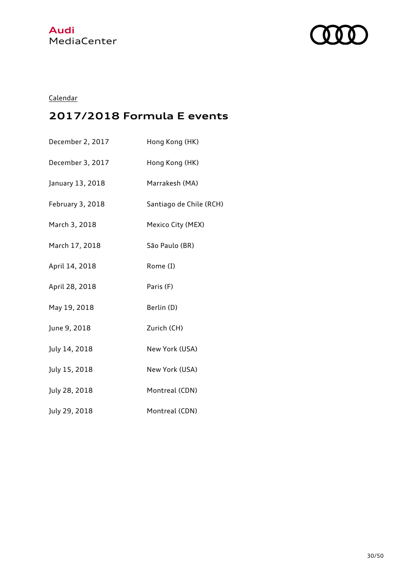



### Calendar

# **2017/2018 Formula E events**

| December 2, 2017 | Hong Kong (HK)          |
|------------------|-------------------------|
| December 3, 2017 | Hong Kong (HK)          |
| January 13, 2018 | Marrakesh (MA)          |
| February 3, 2018 | Santiago de Chile (RCH) |
| March 3, 2018    | Mexico City (MEX)       |
| March 17, 2018   | São Paulo (BR)          |
| April 14, 2018   | Rome (I)                |
| April 28, 2018   | Paris (F)               |
| May 19, 2018     | Berlin (D)              |
| June 9, 2018     | Zurich (CH)             |
| July 14, 2018    | New York (USA)          |
| July 15, 2018    | New York (USA)          |
| July 28, 2018    | Montreal (CDN)          |
| July 29, 2018    | Montreal (CDN)          |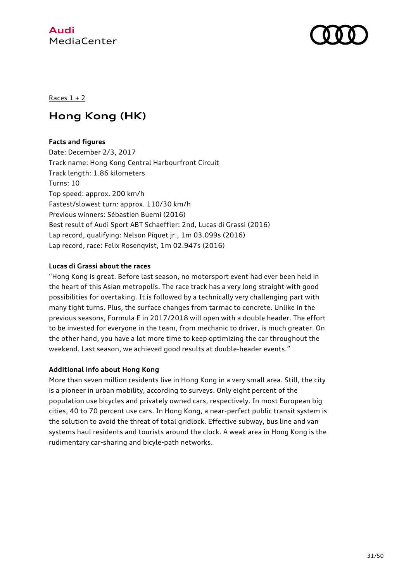



Races  $1 + 2$ 

# **Hong Kong (HK)**

#### **Facts and figures**

Date: December 2/3, 2017 Track name: Hong Kong Central Harbourfront Circuit Track length: 1.86 kilometers Turns: 10 Top speed: approx. 200 km/h Fastest/slowest turn: approx. 110/30 km/h Previous winners: Sébastien Buemi (2016) Best result of Audi Sport ABT Schaeffler: 2nd, Lucas di Grassi (2016) Lap record, qualifying: Nelson Piquet jr., 1m 03.099s (2016) Lap record, race: Felix Rosenqvist, 1m 02.947s (2016)

#### **Lucas di Grassi about the races**

"Hong Kong is great. Before last season, no motorsport event had ever been held in the heart of this Asian metropolis. The race track has a very long straight with good possibilities for overtaking. It is followed by a technically very challenging part with many tight turns. Plus, the surface changes from tarmac to concrete. Unlike in the previous seasons, Formula E in 2017/2018 will open with a double header. The effort to be invested for everyone in the team, from mechanic to driver, is much greater. On the other hand, you have a lot more time to keep optimizing the car throughout the weekend. Last season, we achieved good results at double-header events."

#### **Additional info about Hong Kong**

More than seven million residents live in Hong Kong in a very small area. Still, the city is a pioneer in urban mobility, according to surveys. Only eight percent of the population use bicycles and privately owned cars, respectively. In most European big cities, 40 to 70 percent use cars. In Hong Kong, a near-perfect public transit system is the solution to avoid the threat of total gridlock. Effective subway, bus line and van systems haul residents and tourists around the clock. A weak area in Hong Kong is the rudimentary car-sharing and bicyle-path networks.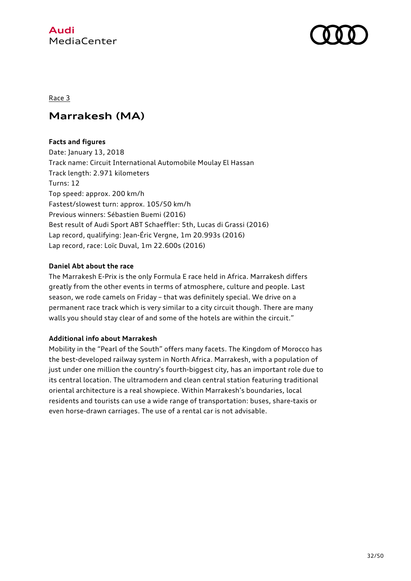

#### Race 3

# **Marrakesh (MA)**

#### **Facts and figures**

Date: January 13, 2018 Track name: Circuit International Automobile Moulay El Hassan Track length: 2.971 kilometers Turns: 12 Top speed: approx. 200 km/h Fastest/slowest turn: approx. 105/50 km/h Previous winners: Sébastien Buemi (2016) Best result of Audi Sport ABT Schaeffler: 5th, Lucas di Grassi (2016) Lap record, qualifying: Jean-Éric Vergne, 1m 20.993s (2016) Lap record, race: Loïc Duval, 1m 22.600s (2016)

#### **Daniel Abt about the race**

The Marrakesh E-Prix is the only Formula E race held in Africa. Marrakesh differs greatly from the other events in terms of atmosphere, culture and people. Last season, we rode camels on Friday – that was definitely special. We drive on a permanent race track which is very similar to a city circuit though. There are many walls you should stay clear of and some of the hotels are within the circuit."

#### **Additional info about Marrakesh**

Mobility in the "Pearl of the South" offers many facets. The Kingdom of Morocco has the best-developed railway system in North Africa. Marrakesh, with a population of just under one million the country's fourth-biggest city, has an important role due to its central location. The ultramodern and clean central station featuring traditional oriental architecture is a real showpiece. Within Marrakesh's boundaries, local residents and tourists can use a wide range of transportation: buses, share-taxis or even horse-drawn carriages. The use of a rental car is not advisable.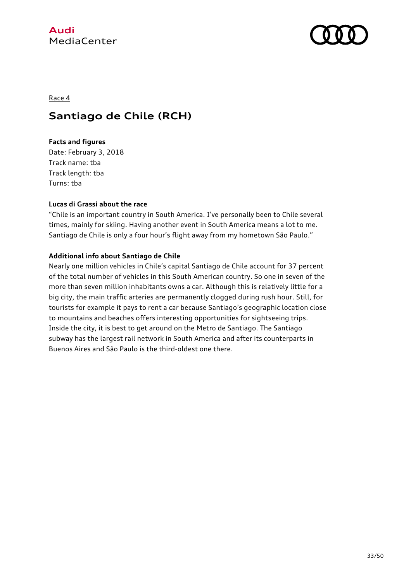



#### Race 4

### **Santiago de Chile (RCH)**

#### **Facts and figures**

Date: February 3, 2018 Track name: tba Track length: tba Turns: tba

#### **Lucas di Grassi about the race**

"Chile is an important country in South America. I've personally been to Chile several times, mainly for skiing. Having another event in South America means a lot to me. Santiago de Chile is only a four hour's flight away from my hometown São Paulo."

#### **Additional info about Santiago de Chile**

Nearly one million vehicles in Chile's capital Santiago de Chile account for 37 percent of the total number of vehicles in this South American country. So one in seven of the more than seven million inhabitants owns a car. Although this is relatively little for a big city, the main traffic arteries are permanently clogged during rush hour. Still, for tourists for example it pays to rent a car because Santiago's geographic location close to mountains and beaches offers interesting opportunities for sightseeing trips. Inside the city, it is best to get around on the Metro de Santiago. The Santiago subway has the largest rail network in South America and after its counterparts in Buenos Aires and São Paulo is the third-oldest one there.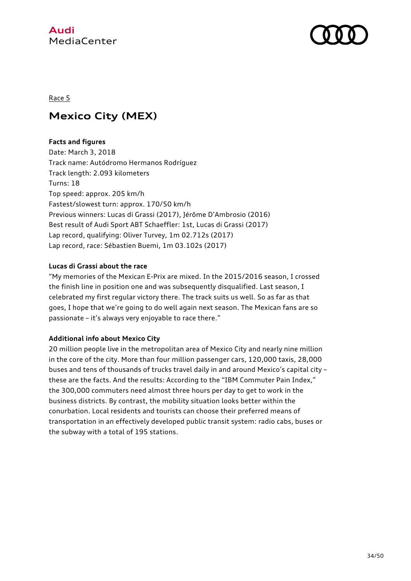

#### Race 5

# **Mexico City (MEX)**

#### **Facts and figures**

Date: March 3, 2018 Track name: Autódromo Hermanos Rodríguez Track length: 2.093 kilometers Turns: 18 Top speed: approx. 205 km/h Fastest/slowest turn: approx. 170/50 km/h Previous winners: Lucas di Grassi (2017), Jérôme D'Ambrosio (2016) Best result of Audi Sport ABT Schaeffler: 1st, Lucas di Grassi (2017) Lap record, qualifying: Oliver Turvey, 1m 02.712s (2017) Lap record, race: Sébastien Buemi, 1m 03.102s (2017)

#### **Lucas di Grassi about the race**

"My memories of the Mexican E-Prix are mixed. In the 2015/2016 season, I crossed the finish line in position one and was subsequently disqualified. Last season, I celebrated my first regular victory there. The track suits us well. So as far as that goes, I hope that we're going to do well again next season. The Mexican fans are so passionate – it's always very enjoyable to race there."

#### **Additional info about Mexico City**

20 million people live in the metropolitan area of Mexico City and nearly nine million in the core of the city. More than four million passenger cars, 120,000 taxis, 28,000 buses and tens of thousands of trucks travel daily in and around Mexico's capital city – these are the facts. And the results: According to the "IBM Commuter Pain Index," the 300,000 commuters need almost three hours per day to get to work in the business districts. By contrast, the mobility situation looks better within the conurbation. Local residents and tourists can choose their preferred means of transportation in an effectively developed public transit system: radio cabs, buses or the subway with a total of 195 stations.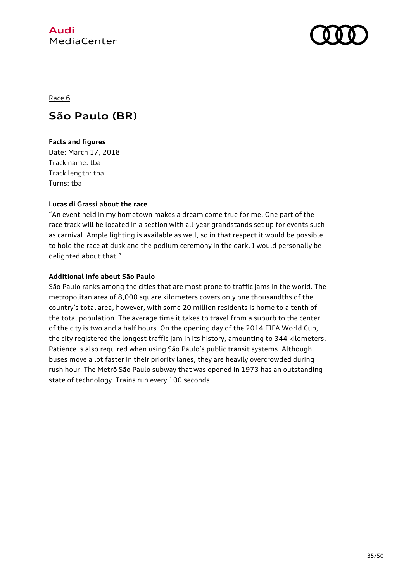



Race 6

# **São Paulo (BR)**

#### **Facts and figures**

Date: March 17, 2018 Track name: tba Track length: tba Turns: tba

#### **Lucas di Grassi about the race**

"An event held in my hometown makes a dream come true for me. One part of the race track will be located in a section with all-year grandstands set up for events such as carnival. Ample lighting is available as well, so in that respect it would be possible to hold the race at dusk and the podium ceremony in the dark. I would personally be delighted about that."

#### **Additional info about São Paulo**

São Paulo ranks among the cities that are most prone to traffic jams in the world. The metropolitan area of 8,000 square kilometers covers only one thousandths of the country's total area, however, with some 20 million residents is home to a tenth of the total population. The average time it takes to travel from a suburb to the center of the city is two and a half hours. On the opening day of the 2014 FIFA World Cup, the city registered the longest traffic jam in its history, amounting to 344 kilometers. Patience is also required when using São Paulo's public transit systems. Although buses move a lot faster in their priority lanes, they are heavily overcrowded during rush hour. The Metrô São Paulo subway that was opened in 1973 has an outstanding state of technology. Trains run every 100 seconds.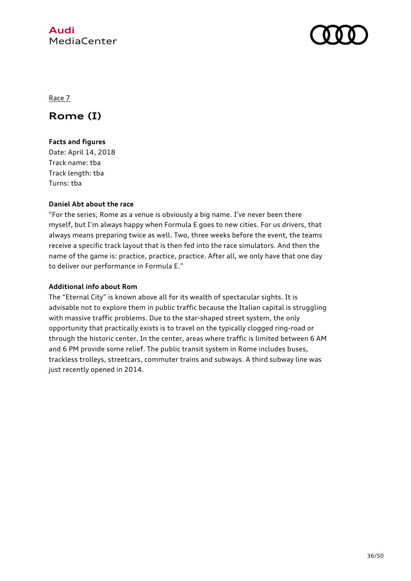

Race 7

# **Rome (I)**

### **Facts and figures**

Date: April 14, 2018 Track name: tba Track length: tba Turns: tba

#### **Daniel Abt about the race**

"For the series, Rome as a venue is obviously a big name. I've never been there myself, but I'm always happy when Formula E goes to new cities. For us drivers, that always means preparing twice as well. Two, three weeks before the event, the teams receive a specific track layout that is then fed into the race simulators. And then the name of the game is: practice, practice, practice. After all, we only have that one day to deliver our performance in Formula E."

#### **Additional info about Rom**

The "Eternal City" is known above all for its wealth of spectacular sights. It is advisable not to explore them in public traffic because the Italian capital is struggling with massive traffic problems. Due to the star-shaped street system, the only opportunity that practically exists is to travel on the typically clogged ring-road or through the historic center. In the center, areas where traffic is limited between 6 AM and 6 PM provide some relief. The public transit system in Rome includes buses, trackless trolleys, streetcars, commuter trains and subways. A third subway line was just recently opened in 2014.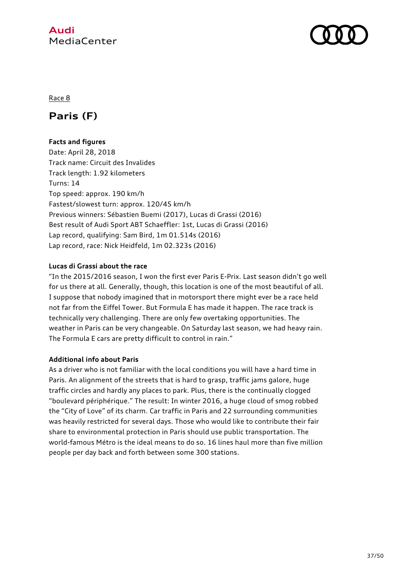

#### Race 8

### **Paris (F)**

#### **Facts and figures**

Date: April 28, 2018 Track name: Circuit des Invalides Track length: 1.92 kilometers Turns: 14 Top speed: approx. 190 km/h Fastest/slowest turn: approx. 120/45 km/h Previous winners: Sébastien Buemi (2017), Lucas di Grassi (2016) Best result of Audi Sport ABT Schaeffler: 1st, Lucas di Grassi (2016) Lap record, qualifying: Sam Bird, 1m 01.514s (2016) Lap record, race: Nick Heidfeld, 1m 02.323s (2016)

#### **Lucas di Grassi about the race**

"In the 2015/2016 season, I won the first ever Paris E-Prix. Last season didn't go well for us there at all. Generally, though, this location is one of the most beautiful of all. I suppose that nobody imagined that in motorsport there might ever be a race held not far from the Eiffel Tower. But Formula E has made it happen. The race track is technically very challenging. There are only few overtaking opportunities. The weather in Paris can be very changeable. On Saturday last season, we had heavy rain. The Formula E cars are pretty difficult to control in rain."

#### **Additional info about Paris**

As a driver who is not familiar with the local conditions you will have a hard time in Paris. An alignment of the streets that is hard to grasp, traffic jams galore, huge traffic circles and hardly any places to park. Plus, there is the continually clogged "boulevard périphérique." The result: In winter 2016, a huge cloud of smog robbed the "City of Love" of its charm. Car traffic in Paris and 22 surrounding communities was heavily restricted for several days. Those who would like to contribute their fair share to environmental protection in Paris should use public transportation. The world-famous Métro is the ideal means to do so. 16 lines haul more than five million people per day back and forth between some 300 stations.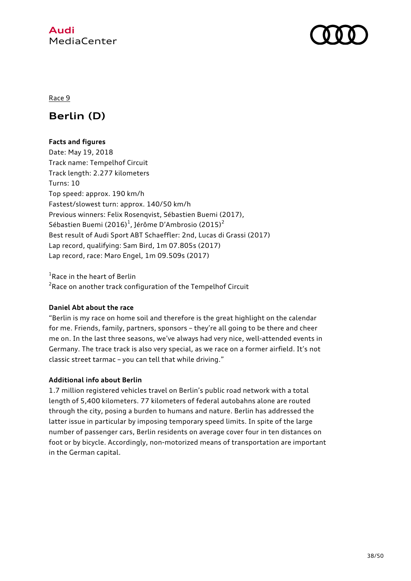

#### Race 9

# **Berlin (D)**

#### **Facts and figures**

Date: May 19, 2018 Track name: Tempelhof Circuit Track length: 2.277 kilometers Turns: 10 Top speed: approx. 190 km/h Fastest/slowest turn: approx. 140/50 km/h Previous winners: Felix Rosenqvist, Sébastien Buemi (2017), Sébastien Buemi (2016) $^1$ , Jérôme D'Ambrosio (2015) $^2$ Best result of Audi Sport ABT Schaeffler: 2nd, Lucas di Grassi (2017) Lap record, qualifying: Sam Bird, 1m 07.805s (2017) Lap record, race: Maro Engel, 1m 09.509s (2017)

<sup>1</sup>Race in the heart of Berlin  $^{2}$ Race on another track configuration of the Tempelhof Circuit

#### **Daniel Abt about the race**

"Berlin is my race on home soil and therefore is the great highlight on the calendar for me. Friends, family, partners, sponsors – they're all going to be there and cheer me on. In the last three seasons, we've always had very nice, well-attended events in Germany. The trace track is also very special, as we race on a former airfield. It's not classic street tarmac – you can tell that while driving."

#### **Additional info about Berlin**

1.7 million registered vehicles travel on Berlin's public road network with a total length of 5,400 kilometers. 77 kilometers of federal autobahns alone are routed through the city, posing a burden to humans and nature. Berlin has addressed the latter issue in particular by imposing temporary speed limits. In spite of the large number of passenger cars, Berlin residents on average cover four in ten distances on foot or by bicycle. Accordingly, non-motorized means of transportation are important in the German capital.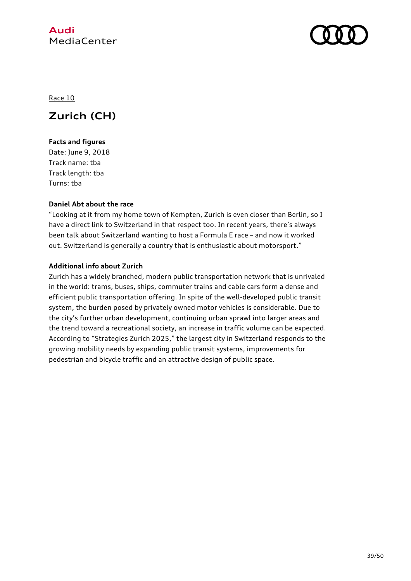



Race 10

# **Zurich (CH)**

#### **Facts and figures**

Date: June 9, 2018 Track name: tba Track length: tba Turns: tba

#### **Daniel Abt about the race**

"Looking at it from my home town of Kempten, Zurich is even closer than Berlin, so I have a direct link to Switzerland in that respect too. In recent years, there's always been talk about Switzerland wanting to host a Formula E race – and now it worked out. Switzerland is generally a country that is enthusiastic about motorsport."

#### **Additional info about Zurich**

Zurich has a widely branched, modern public transportation network that is unrivaled in the world: trams, buses, ships, commuter trains and cable cars form a dense and efficient public transportation offering. In spite of the well-developed public transit system, the burden posed by privately owned motor vehicles is considerable. Due to the city's further urban development, continuing urban sprawl into larger areas and the trend toward a recreational society, an increase in traffic volume can be expected. According to "Strategies Zurich 2025," the largest city in Switzerland responds to the growing mobility needs by expanding public transit systems, improvements for pedestrian and bicycle traffic and an attractive design of public space.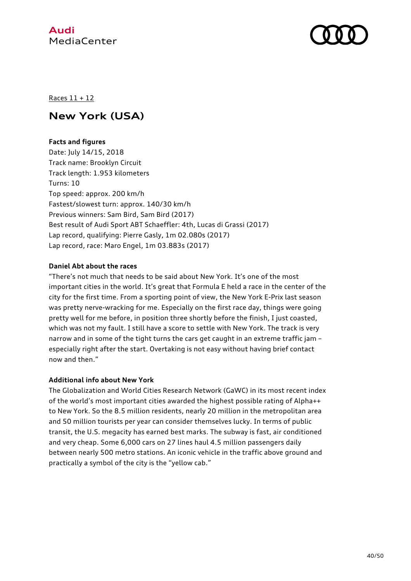



Races 11 + 12

# **New York (USA)**

#### **Facts and figures**

Date: July 14/15, 2018 Track name: Brooklyn Circuit Track length: 1.953 kilometers Turns: 10 Top speed: approx. 200 km/h Fastest/slowest turn: approx. 140/30 km/h Previous winners: Sam Bird, Sam Bird (2017) Best result of Audi Sport ABT Schaeffler: 4th, Lucas di Grassi (2017) Lap record, qualifying: Pierre Gasly, 1m 02.080s (2017) Lap record, race: Maro Engel, 1m 03.883s (2017)

#### **Daniel Abt about the races**

"There's not much that needs to be said about New York. It's one of the most important cities in the world. It's great that Formula E held a race in the center of the city for the first time. From a sporting point of view, the New York E-Prix last season was pretty nerve-wracking for me. Especially on the first race day, things were going pretty well for me before, in position three shortly before the finish, I just coasted, which was not my fault. I still have a score to settle with New York. The track is very narrow and in some of the tight turns the cars get caught in an extreme traffic jam – especially right after the start. Overtaking is not easy without having brief contact now and then."

#### **Additional info about New York**

The Globalization and World Cities Research Network (GaWC) in its most recent index of the world's most important cities awarded the highest possible rating of Alpha++ to New York. So the 8.5 million residents, nearly 20 million in the metropolitan area and 50 million tourists per year can consider themselves lucky. In terms of public transit, the U.S. megacity has earned best marks. The subway is fast, air conditioned and very cheap. Some 6,000 cars on 27 lines haul 4.5 million passengers daily between nearly 500 metro stations. An iconic vehicle in the traffic above ground and practically a symbol of the city is the "yellow cab."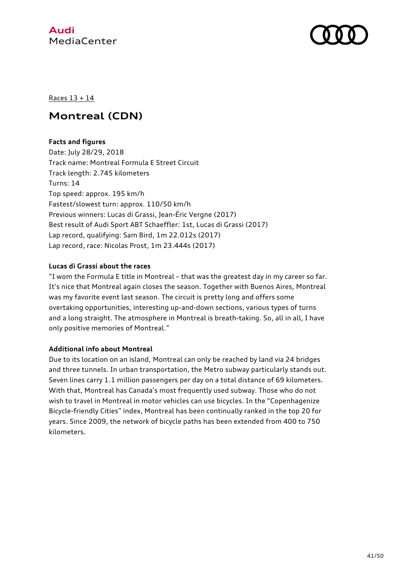



#### Races 13 + 14

### **Montreal (CDN)**

#### **Facts and figures**

Date: July 28/29, 2018 Track name: Montreal Formula E Street Circuit Track length: 2.745 kilometers Turns: 14 Top speed: approx. 195 km/h Fastest/slowest turn: approx. 110/50 km/h Previous winners: Lucas di Grassi, Jean-Éric Vergne (2017) Best result of Audi Sport ABT Schaeffler: 1st, Lucas di Grassi (2017) Lap record, qualifying: Sam Bird, 1m 22.012s (2017) Lap record, race: Nicolas Prost, 1m 23.444s (2017)

#### **Lucas di Grassi about the races**

"I wom the Formula E title in Montreal – that was the greatest day in my career so far. It's nice that Montreal again closes the season. Together with Buenos Aires, Montreal was my favorite event last season. The circuit is pretty long and offers some overtaking opportunities, interesting up-and-down sections, various types of turns and a long straight. The atmosphere in Montreal is breath-taking. So, all in all, I have only positive memories of Montreal."

#### **Additional info about Montreal**

Due to its location on an island, Montreal can only be reached by land via 24 bridges and three tunnels. In urban transportation, the Metro subway particularly stands out. Seven lines carry 1.1 million passengers per day on a total distance of 69 kilometers. With that, Montreal has Canada's most frequently used subway. Those who do not wish to travel in Montreal in motor vehicles can use bicycles. In the "Copenhagenize Bicycle-friendly Cities" index, Montreal has been continually ranked in the top 20 for years. Since 2009, the network of bicycle paths has been extended from 400 to 750 kilometers.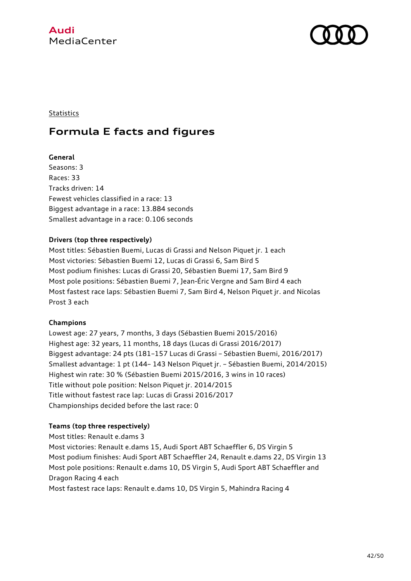



#### **Statistics**

### **Formula E facts and figures**

#### **General**

Seasons: 3 Races: 33 Tracks driven: 14 Fewest vehicles classified in a race: 13 Biggest advantage in a race: 13.884 seconds Smallest advantage in a race: 0.106 seconds

#### **Drivers (top three respectively)**

Most titles: Sébastien Buemi, Lucas di Grassi and Nelson Piquet jr. 1 each Most victories: Sébastien Buemi 12, Lucas di Grassi 6, Sam Bird 5 Most podium finishes: Lucas di Grassi 20, Sébastien Buemi 17, Sam Bird 9 Most pole positions: Sébastien Buemi 7, Jean-Éric Vergne and Sam Bird 4 each Most fastest race laps: Sébastien Buemi 7, Sam Bird 4, Nelson Piquet jr. and Nicolas Prost 3 each

#### **Champions**

Lowest age: 27 years, 7 months, 3 days (Sébastien Buemi 2015/2016) Highest age: 32 years, 11 months, 18 days (Lucas di Grassi 2016/2017) Biggest advantage: 24 pts (181–157 Lucas di Grassi – Sébastien Buemi, 2016/2017) Smallest advantage: 1 pt (144– 143 Nelson Piquet jr. – Sébastien Buemi, 2014/2015) Highest win rate: 30 % (Sébastien Buemi 2015/2016, 3 wins in 10 races) Title without pole position: Nelson Piquet jr. 2014/2015 Title without fastest race lap: Lucas di Grassi 2016/2017 Championships decided before the last race: 0

#### **Teams (top three respectively)**

Most titles: Renault e.dams 3 Most victories: Renault e.dams 15, Audi Sport ABT Schaeffler 6, DS Virgin 5 Most podium finishes: Audi Sport ABT Schaeffler 24, Renault e.dams 22, DS Virgin 13 Most pole positions: Renault e.dams 10, DS Virgin 5, Audi Sport ABT Schaeffler and Dragon Racing 4 each Most fastest race laps: Renault e.dams 10, DS Virgin 5, Mahindra Racing 4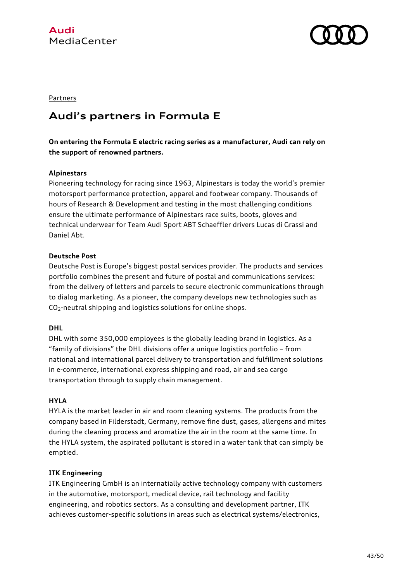



#### **Partners**

# **Audi's partners in Formula E**

**On entering the Formula E electric racing series as a manufacturer, Audi can rely on the support of renowned partners.** 

#### **Alpinestars**

Pioneering technology for racing since 1963, Alpinestars is today the world's premier motorsport performance protection, apparel and footwear company. Thousands of hours of Research & Development and testing in the most challenging conditions ensure the ultimate performance of Alpinestars race suits, boots, gloves and technical underwear for Team Audi Sport ABT Schaeffler drivers Lucas di Grassi and Daniel Abt.

#### **Deutsche Post**

Deutsche Post is Europe's biggest postal services provider. The products and services portfolio combines the present and future of postal and communications services: from the delivery of letters and parcels to secure electronic communications through to dialog marketing. As a pioneer, the company develops new technologies such as CO2-neutral shipping and logistics solutions for online shops.

#### **DHL**

DHL with some 350,000 employees is the globally leading brand in logistics. As a "family of divisions" the DHL divisions offer a unique logistics portfolio – from national and international parcel delivery to transportation and fulfillment solutions in e-commerce, international express shipping and road, air and sea cargo transportation through to supply chain management.

#### **HYLA**

HYLA is the market leader in air and room cleaning systems. The products from the company based in Filderstadt, Germany, remove fine dust, gases, allergens and mites during the cleaning process and aromatize the air in the room at the same time. In the HYLA system, the aspirated pollutant is stored in a water tank that can simply be emptied.

#### **ITK Engineering**

ITK Engineering GmbH is an internatially active technology company with customers in the automotive, motorsport, medical device, rail technology and facility engineering, and robotics sectors. As a consulting and development partner, ITK achieves customer-specific solutions in areas such as electrical systems/electronics,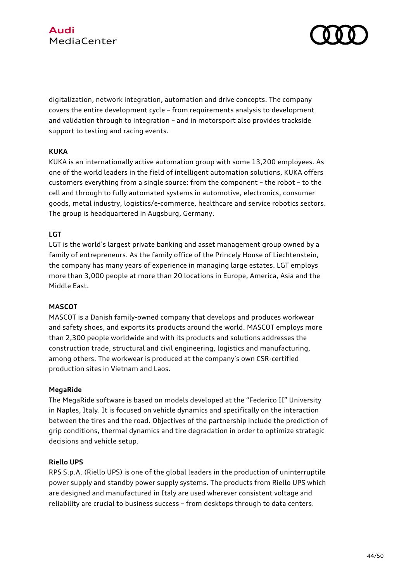

digitalization, network integration, automation and drive concepts. The company covers the entire development cycle – from requirements analysis to development and validation through to integration – and in motorsport also provides trackside support to testing and racing events.

#### **KUKA**

KUKA is an internationally active automation group with some 13,200 employees. As one of the world leaders in the field of intelligent automation solutions, KUKA offers customers everything from a single source: from the component – the robot – to the cell and through to fully automated systems in automotive, electronics, consumer goods, metal industry, logistics/e-commerce, healthcare and service robotics sectors. The group is headquartered in Augsburg, Germany.

#### **LGT**

LGT is the world's largest private banking and asset management group owned by a family of entrepreneurs. As the family office of the Princely House of Liechtenstein, the company has many years of experience in managing large estates. LGT employs more than 3,000 people at more than 20 locations in Europe, America, Asia and the Middle East.

#### **MASCOT**

MASCOT is a Danish family-owned company that develops and produces workwear and safety shoes, and exports its products around the world. MASCOT employs more than 2,300 people worldwide and with its products and solutions addresses the construction trade, structural and civil engineering, logistics and manufacturing, among others. The workwear is produced at the company's own CSR-certified production sites in Vietnam and Laos.

#### **MegaRide**

The MegaRide software is based on models developed at the "Federico II" University in Naples, Italy. It is focused on vehicle dynamics and specifically on the interaction between the tires and the road. Objectives of the partnership include the prediction of grip conditions, thermal dynamics and tire degradation in order to optimize strategic decisions and vehicle setup.

#### **Riello UPS**

RPS S.p.A. (Riello UPS) is one of the global leaders in the production of uninterruptile power supply and standby power supply systems. The products from Riello UPS which are designed and manufactured in Italy are used wherever consistent voltage and reliability are crucial to business success – from desktops through to data centers.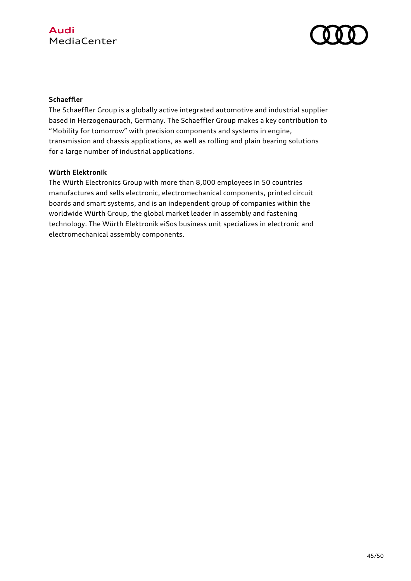

#### **Schaeffler**

The Schaeffler Group is a globally active integrated automotive and industrial supplier based in Herzogenaurach, Germany. The Schaeffler Group makes a key contribution to "Mobility for tomorrow" with precision components and systems in engine, transmission and chassis applications, as well as rolling and plain bearing solutions for a large number of industrial applications.

#### **Würth Elektronik**

The Würth Electronics Group with more than 8,000 employees in 50 countries manufactures and sells electronic, electromechanical components, printed circuit boards and smart systems, and is an independent group of companies within the worldwide Würth Group, the global market leader in assembly and fastening technology. The Würth Elektronik eiSos business unit specializes in electronic and electromechanical assembly components.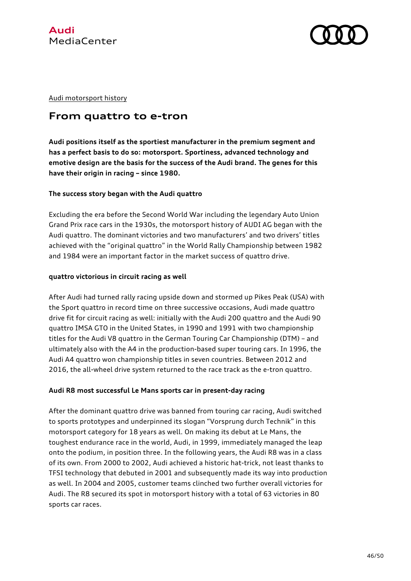



Audi motorsport history

### **From quattro to e-tron**

**Audi positions itself as the sportiest manufacturer in the premium segment and has a perfect basis to do so: motorsport. Sportiness, advanced technology and emotive design are the basis for the success of the Audi brand. The genes for this have their origin in racing – since 1980.**

#### **The success story began with the Audi quattro**

Excluding the era before the Second World War including the legendary Auto Union Grand Prix race cars in the 1930s, the motorsport history of AUDI AG began with the Audi quattro. The dominant victories and two manufacturers' and two drivers' titles achieved with the "original quattro" in the World Rally Championship between 1982 and 1984 were an important factor in the market success of quattro drive.

#### **quattro victorious in circuit racing as well**

After Audi had turned rally racing upside down and stormed up Pikes Peak (USA) with the Sport quattro in record time on three successive occasions, Audi made quattro drive fit for circuit racing as well: initially with the Audi 200 quattro and the Audi 90 quattro IMSA GTO in the United States, in 1990 and 1991 with two championship titles for the Audi V8 quattro in the German Touring Car Championship (DTM) – and ultimately also with the A4 in the production-based super touring cars. In 1996, the Audi A4 quattro won championship titles in seven countries. Between 2012 and 2016, the all-wheel drive system returned to the race track as the e-tron quattro.

#### **Audi R8 most successful Le Mans sports car in present-day racing**

After the dominant quattro drive was banned from touring car racing, Audi switched to sports prototypes and underpinned its slogan "Vorsprung durch Technik" in this motorsport category for 18 years as well. On making its debut at Le Mans, the toughest endurance race in the world, Audi, in 1999, immediately managed the leap onto the podium, in position three. In the following years, the Audi R8 was in a class of its own. From 2000 to 2002, Audi achieved a historic hat-trick, not least thanks to TFSI technology that debuted in 2001 and subsequently made its way into production as well. In 2004 and 2005, customer teams clinched two further overall victories for Audi. The R8 secured its spot in motorsport history with a total of 63 victories in 80 sports car races.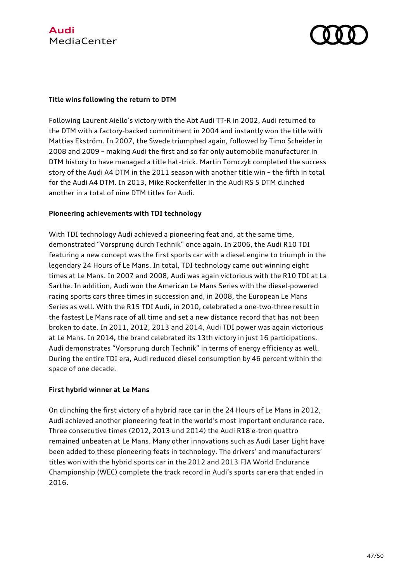



#### **Title wins following the return to DTM**

Following Laurent Aiello's victory with the Abt Audi TT-R in 2002, Audi returned to the DTM with a factory-backed commitment in 2004 and instantly won the title with Mattias Ekström. In 2007, the Swede triumphed again, followed by Timo Scheider in 2008 and 2009 – making Audi the first and so far only automobile manufacturer in DTM history to have managed a title hat-trick. Martin Tomczyk completed the success story of the Audi A4 DTM in the 2011 season with another title win – the fifth in total for the Audi A4 DTM. In 2013, Mike Rockenfeller in the Audi RS 5 DTM clinched another in a total of nine DTM titles for Audi.

#### **Pioneering achievements with TDI technology**

With TDI technology Audi achieved a pioneering feat and, at the same time, demonstrated "Vorsprung durch Technik" once again. In 2006, the Audi R10 TDI featuring a new concept was the first sports car with a diesel engine to triumph in the legendary 24 Hours of Le Mans. In total, TDI technology came out winning eight times at Le Mans. In 2007 and 2008, Audi was again victorious with the R10 TDI at La Sarthe. In addition, Audi won the American Le Mans Series with the diesel-powered racing sports cars three times in succession and, in 2008, the European Le Mans Series as well. With the R15 TDI Audi, in 2010, celebrated a one-two-three result in the fastest Le Mans race of all time and set a new distance record that has not been broken to date. In 2011, 2012, 2013 and 2014, Audi TDI power was again victorious at Le Mans. In 2014, the brand celebrated its 13th victory in just 16 participations. Audi demonstrates "Vorsprung durch Technik" in terms of energy efficiency as well. During the entire TDI era, Audi reduced diesel consumption by 46 percent within the space of one decade.

#### **First hybrid winner at Le Mans**

On clinching the first victory of a hybrid race car in the 24 Hours of Le Mans in 2012, Audi achieved another pioneering feat in the world's most important endurance race. Three consecutive times (2012, 2013 und 2014) the Audi R18 e-tron quattro remained unbeaten at Le Mans. Many other innovations such as Audi Laser Light have been added to these pioneering feats in technology. The drivers' and manufacturers' titles won with the hybrid sports car in the 2012 and 2013 FIA World Endurance Championship (WEC) complete the track record in Audi's sports car era that ended in 2016.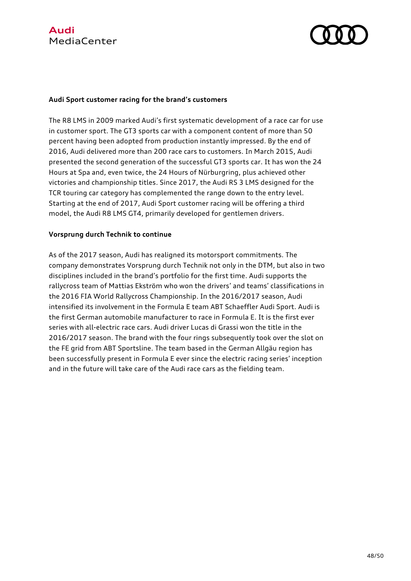

#### **Audi Sport customer racing for the brand's customers**

The R8 LMS in 2009 marked Audi's first systematic development of a race car for use in customer sport. The GT3 sports car with a component content of more than 50 percent having been adopted from production instantly impressed. By the end of 2016, Audi delivered more than 200 race cars to customers. In March 2015, Audi presented the second generation of the successful GT3 sports car. It has won the 24 Hours at Spa and, even twice, the 24 Hours of Nürburgring, plus achieved other victories and championship titles. Since 2017, the Audi RS 3 LMS designed for the TCR touring car category has complemented the range down to the entry level. Starting at the end of 2017, Audi Sport customer racing will be offering a third model, the Audi R8 LMS GT4, primarily developed for gentlemen drivers.

#### **Vorsprung durch Technik to continue**

As of the 2017 season, Audi has realigned its motorsport commitments. The company demonstrates Vorsprung durch Technik not only in the DTM, but also in two disciplines included in the brand's portfolio for the first time. Audi supports the rallycross team of Mattias Ekström who won the drivers' and teams' classifications in the 2016 FIA World Rallycross Championship. In the 2016/2017 season, Audi intensified its involvement in the Formula E team ABT Schaeffler Audi Sport. Audi is the first German automobile manufacturer to race in Formula E. It is the first ever series with all-electric race cars. Audi driver Lucas di Grassi won the title in the 2016/2017 season. The brand with the four rings subsequently took over the slot on the FE grid from ABT Sportsline. The team based in the German Allgäu region has been successfully present in Formula E ever since the electric racing series' inception and in the future will take care of the Audi race cars as the fielding team.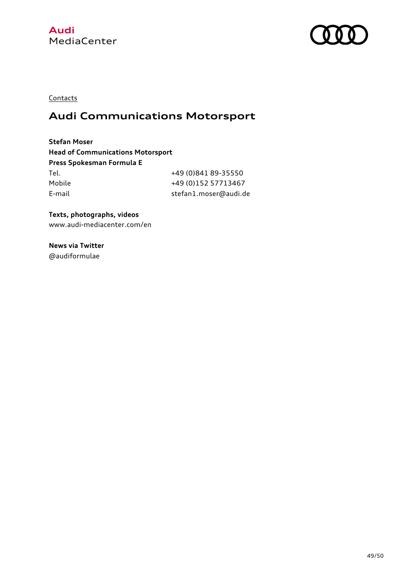



**Contacts** 

# **Audi Communications Motorsport**

**Stefan Moser Head of Communications Motorsport Press Spokesman Formula E** Tel. +49 (0)841 89-35550 Mobile +49 (0)152 57713467 E-mail stefan1.moser@audi.de

**Texts, photographs, videos** www.audi-mediacenter.com/en

**News via Twitter** @audiformulae